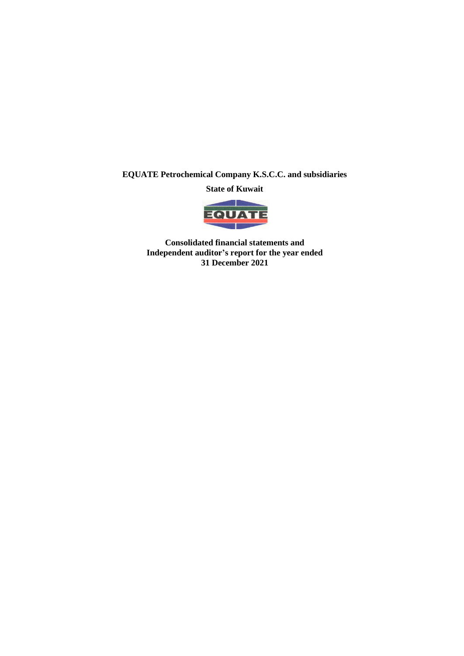**EQUATE Petrochemical Company K.S.C.C. and subsidiaries**

**State of Kuwait**



**Consolidated financial statements and Independent auditor's report for the year ended 31 December 2021**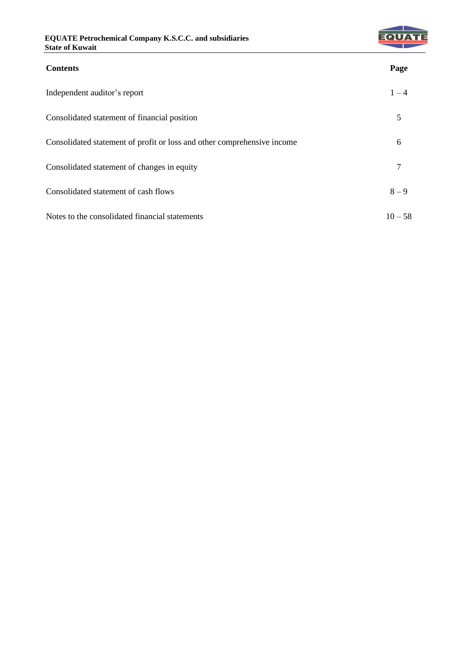

## **Contents Page** Independent auditor's report  $1 - 4$ Consolidated statement of financial position 5 Consolidated statement of profit or loss and other comprehensive income 6 Consolidated statement of changes in equity 7 Consolidated statement of cash flows  $8 - 9$ Notes to the consolidated financial statements  $10-58$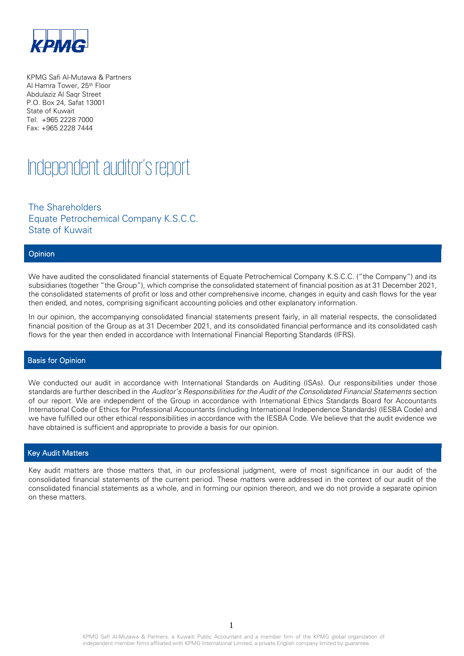

KPMG Safi Al-Mutawa & Partners Al Hamra Tower, 25th Floor Abdulaziz Al Saqr Street P.O. Box 24, Safat 13001 State of Kuwait Tel: +965 2228 7000 Fax: +965 2228 7444

## Independent auditor's report

The Shareholders Equate Petrochemical Company K.S.C.C. State of Kuwait

## Opinion

We have audited the consolidated financial statements of Equate Petrochemical Company K.S.C.C. ("the Company") and its subsidiaries (together "the Group"), which comprise the consolidated statement of financial position as at 31 December 2021, the consolidated statements of profit or loss and other comprehensive income, changes in equity and cash flows for the year then ended, and notes, comprising significant accounting policies and other explanatory information.

In our opinion, the accompanying consolidated financial statements present fairly, in all material respects, the consolidated financial position of the Group as at 31 December 2021, and its consolidated financial performance and its consolidated cash flows for the year then ended in accordance with International Financial Reporting Standards (IFRS).

#### Basis for Opinion

We conducted our audit in accordance with International Standards on Auditing (ISAs). Our responsibilities under those standards are further described in the *Auditor's Responsibilities for the Audit of the Consolidated Financial Statements* section of our report. We are independent of the Group in accordance with International Ethics Standards Board for Accountants International Code of Ethics for Professional Accountants (including International Independence Standards) (IESBA Code) and we have fulfilled our other ethical responsibilities in accordance with the IESBA Code. We believe that the audit evidence we have obtained is sufficient and appropriate to provide a basis for our opinion.

#### Key Audit Matters

Key audit matters are those matters that, in our professional judgment, were of most significance in our audit of the consolidated financial statements of the current period. These matters were addressed in the context of our audit of the consolidated financial statements as a whole, and in forming our opinion thereon, and we do not provide a separate opinion on these matters.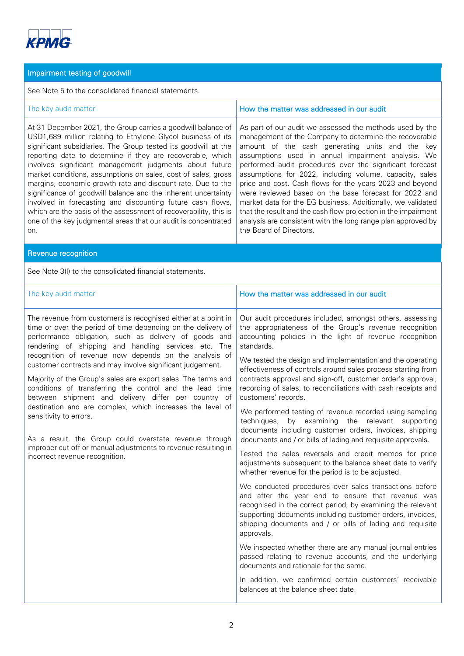

## Impairment testing of goodwill

See Note 5 to the consolidated financial statements.

| The key audit matter                                                                                                                                                                                                                                                                                                                                                                                                                                                                                                                                                                                                                                                                                                                                                                                          | How the matter was addressed in our audit                                                                                                                                                                                                                                                                                                                                                                                                                                                                                                                                                                                                                                                                                                                                                                                                                                                                                                                                                                                                                                                                                                                                                                                                                                                                                                                                                                                                                                                     |
|---------------------------------------------------------------------------------------------------------------------------------------------------------------------------------------------------------------------------------------------------------------------------------------------------------------------------------------------------------------------------------------------------------------------------------------------------------------------------------------------------------------------------------------------------------------------------------------------------------------------------------------------------------------------------------------------------------------------------------------------------------------------------------------------------------------|-----------------------------------------------------------------------------------------------------------------------------------------------------------------------------------------------------------------------------------------------------------------------------------------------------------------------------------------------------------------------------------------------------------------------------------------------------------------------------------------------------------------------------------------------------------------------------------------------------------------------------------------------------------------------------------------------------------------------------------------------------------------------------------------------------------------------------------------------------------------------------------------------------------------------------------------------------------------------------------------------------------------------------------------------------------------------------------------------------------------------------------------------------------------------------------------------------------------------------------------------------------------------------------------------------------------------------------------------------------------------------------------------------------------------------------------------------------------------------------------------|
| At 31 December 2021, the Group carries a goodwill balance of<br>USD1,689 million relating to Ethylene Glycol business of its<br>significant subsidiaries. The Group tested its goodwill at the<br>reporting date to determine if they are recoverable, which<br>involves significant management judgments about future<br>market conditions, assumptions on sales, cost of sales, gross<br>margins, economic growth rate and discount rate. Due to the<br>significance of goodwill balance and the inherent uncertainty<br>involved in forecasting and discounting future cash flows,<br>which are the basis of the assessment of recoverability, this is<br>one of the key judgmental areas that our audit is concentrated<br>on.                                                                            | As part of our audit we assessed the methods used by the<br>management of the Company to determine the recoverable<br>amount of the cash generating units and the key<br>assumptions used in annual impairment analysis. We<br>performed audit procedures over the significant forecast<br>assumptions for 2022, including volume, capacity, sales<br>price and cost. Cash flows for the years 2023 and beyond<br>were reviewed based on the base forecast for 2022 and<br>market data for the EG business. Additionally, we validated<br>that the result and the cash flow projection in the impairment<br>analysis are consistent with the long range plan approved by<br>the Board of Directors.                                                                                                                                                                                                                                                                                                                                                                                                                                                                                                                                                                                                                                                                                                                                                                                           |
| Revenue recognition                                                                                                                                                                                                                                                                                                                                                                                                                                                                                                                                                                                                                                                                                                                                                                                           |                                                                                                                                                                                                                                                                                                                                                                                                                                                                                                                                                                                                                                                                                                                                                                                                                                                                                                                                                                                                                                                                                                                                                                                                                                                                                                                                                                                                                                                                                               |
| See Note 3(I) to the consolidated financial statements.                                                                                                                                                                                                                                                                                                                                                                                                                                                                                                                                                                                                                                                                                                                                                       |                                                                                                                                                                                                                                                                                                                                                                                                                                                                                                                                                                                                                                                                                                                                                                                                                                                                                                                                                                                                                                                                                                                                                                                                                                                                                                                                                                                                                                                                                               |
| The key audit matter                                                                                                                                                                                                                                                                                                                                                                                                                                                                                                                                                                                                                                                                                                                                                                                          | How the matter was addressed in our audit                                                                                                                                                                                                                                                                                                                                                                                                                                                                                                                                                                                                                                                                                                                                                                                                                                                                                                                                                                                                                                                                                                                                                                                                                                                                                                                                                                                                                                                     |
| The revenue from customers is recognised either at a point in<br>time or over the period of time depending on the delivery of<br>performance obligation, such as delivery of goods and<br>rendering of shipping and handling services etc. The<br>recognition of revenue now depends on the analysis of<br>customer contracts and may involve significant judgement.<br>Majority of the Group's sales are export sales. The terms and<br>conditions of transferring the control and the lead time<br>between shipment and delivery differ per country of<br>destination and are complex, which increases the level of<br>sensitivity to errors.<br>As a result, the Group could overstate revenue through<br>improper cut-off or manual adjustments to revenue resulting in<br>incorrect revenue recognition. | Our audit procedures included, amongst others, assessing<br>the appropriateness of the Group's revenue recognition<br>accounting policies in the light of revenue recognition<br>standards.<br>We tested the design and implementation and the operating<br>effectiveness of controls around sales process starting from<br>contracts approval and sign-off, customer order's approval,<br>recording of sales, to reconciliations with cash receipts and<br>customers' records.<br>We performed testing of revenue recorded using sampling<br>techniques, by examining the relevant supporting<br>documents including customer orders, invoices, shipping<br>documents and / or bills of lading and requisite approvals.<br>Tested the sales reversals and credit memos for price<br>adjustments subsequent to the balance sheet date to verify<br>whether revenue for the period is to be adjusted.<br>We conducted procedures over sales transactions before<br>and after the year end to ensure that revenue was<br>recognised in the correct period, by examining the relevant<br>supporting documents including customer orders, invoices,<br>shipping documents and / or bills of lading and requisite<br>approvals.<br>We inspected whether there are any manual journal entries<br>passed relating to revenue accounts, and the underlying<br>documents and rationale for the same.<br>In addition, we confirmed certain customers' receivable<br>balances at the balance sheet date. |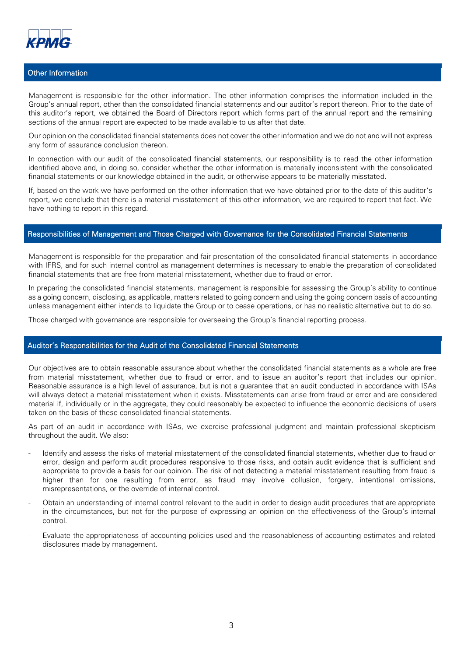

## Other Information

Management is responsible for the other information. The other information comprises the information included in the Group's annual report, other than the consolidated financial statements and our auditor's report thereon. Prior to the date of this auditor's report, we obtained the Board of Directors report which forms part of the annual report and the remaining sections of the annual report are expected to be made available to us after that date.

Our opinion on the consolidated financial statements does not cover the other information and we do not and will not express any form of assurance conclusion thereon.

In connection with our audit of the consolidated financial statements, our responsibility is to read the other information identified above and, in doing so, consider whether the other information is materially inconsistent with the consolidated financial statements or our knowledge obtained in the audit, or otherwise appears to be materially misstated.

If, based on the work we have performed on the other information that we have obtained prior to the date of this auditor's report, we conclude that there is a material misstatement of this other information, we are required to report that fact. We have nothing to report in this regard.

#### Responsibilities of Management and Those Charged with Governance for the Consolidated Financial Statements

Management is responsible for the preparation and fair presentation of the consolidated financial statements in accordance with IFRS, and for such internal control as management determines is necessary to enable the preparation of consolidated financial statements that are free from material misstatement, whether due to fraud or error.

In preparing the consolidated financial statements, management is responsible for assessing the Group's ability to continue as a going concern, disclosing, as applicable, matters related to going concern and using the going concern basis of accounting unless management either intends to liquidate the Group or to cease operations, or has no realistic alternative but to do so.

Those charged with governance are responsible for overseeing the Group's financial reporting process.

#### Auditor's Responsibilities for the Audit of the Consolidated Financial Statements

Our objectives are to obtain reasonable assurance about whether the consolidated financial statements as a whole are free from material misstatement, whether due to fraud or error, and to issue an auditor's report that includes our opinion. Reasonable assurance is a high level of assurance, but is not a guarantee that an audit conducted in accordance with ISAs will always detect a material misstatement when it exists. Misstatements can arise from fraud or error and are considered material if, individually or in the aggregate, they could reasonably be expected to influence the economic decisions of users taken on the basis of these consolidated financial statements.

As part of an audit in accordance with ISAs, we exercise professional judgment and maintain professional skepticism throughout the audit. We also:

- Identify and assess the risks of material misstatement of the consolidated financial statements, whether due to fraud or error, design and perform audit procedures responsive to those risks, and obtain audit evidence that is sufficient and appropriate to provide a basis for our opinion. The risk of not detecting a material misstatement resulting from fraud is higher than for one resulting from error, as fraud may involve collusion, forgery, intentional omissions, misrepresentations, or the override of internal control.
- Obtain an understanding of internal control relevant to the audit in order to design audit procedures that are appropriate in the circumstances, but not for the purpose of expressing an opinion on the effectiveness of the Group's internal control.
- Evaluate the appropriateness of accounting policies used and the reasonableness of accounting estimates and related disclosures made by management.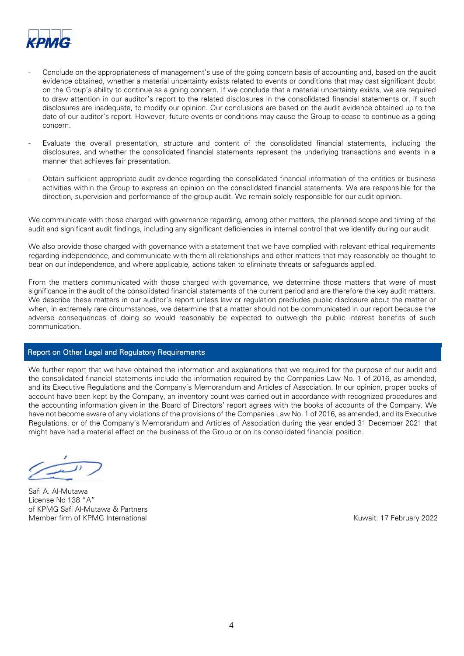

- Conclude on the appropriateness of management's use of the going concern basis of accounting and, based on the audit evidence obtained, whether a material uncertainty exists related to events or conditions that may cast significant doubt on the Group's ability to continue as a going concern. If we conclude that a material uncertainty exists, we are required to draw attention in our auditor's report to the related disclosures in the consolidated financial statements or, if such disclosures are inadequate, to modify our opinion. Our conclusions are based on the audit evidence obtained up to the date of our auditor's report. However, future events or conditions may cause the Group to cease to continue as a going concern.
- Evaluate the overall presentation, structure and content of the consolidated financial statements, including the disclosures, and whether the consolidated financial statements represent the underlying transactions and events in a manner that achieves fair presentation.
- Obtain sufficient appropriate audit evidence regarding the consolidated financial information of the entities or business activities within the Group to express an opinion on the consolidated financial statements. We are responsible for the direction, supervision and performance of the group audit. We remain solely responsible for our audit opinion.

We communicate with those charged with governance regarding, among other matters, the planned scope and timing of the audit and significant audit findings, including any significant deficiencies in internal control that we identify during our audit.

We also provide those charged with governance with a statement that we have complied with relevant ethical requirements regarding independence, and communicate with them all relationships and other matters that may reasonably be thought to bear on our independence, and where applicable, actions taken to eliminate threats or safeguards applied.

From the matters communicated with those charged with governance, we determine those matters that were of most significance in the audit of the consolidated financial statements of the current period and are therefore the key audit matters. We describe these matters in our auditor's report unless law or regulation precludes public disclosure about the matter or when, in extremely rare circumstances, we determine that a matter should not be communicated in our report because the adverse consequences of doing so would reasonably be expected to outweigh the public interest benefits of such communication.

## Report on Other Legal and Regulatory Requirements

We further report that we have obtained the information and explanations that we required for the purpose of our audit and the consolidated financial statements include the information required by the Companies Law No. 1 of 2016, as amended, and its Executive Regulations and the Company's Memorandum and Articles of Association. In our opinion, proper books of account have been kept by the Company, an inventory count was carried out in accordance with recognized procedures and the accounting information given in the Board of Directors' report agrees with the books of accounts of the Company. We have not become aware of any violations of the provisions of the Companies Law No. 1 of 2016, as amended, and its Executive Regulations, or of the Company's Memorandum and Articles of Association during the year ended 31 December 2021 that might have had a material effect on the business of the Group or on its consolidated financial position.

Safi A. Al-Mutawa License No 138 "A" of KPMG Safi Al-Mutawa & Partners Member firm of KPMG International Number of Allen States and Allen Kuwait: 17 February 2022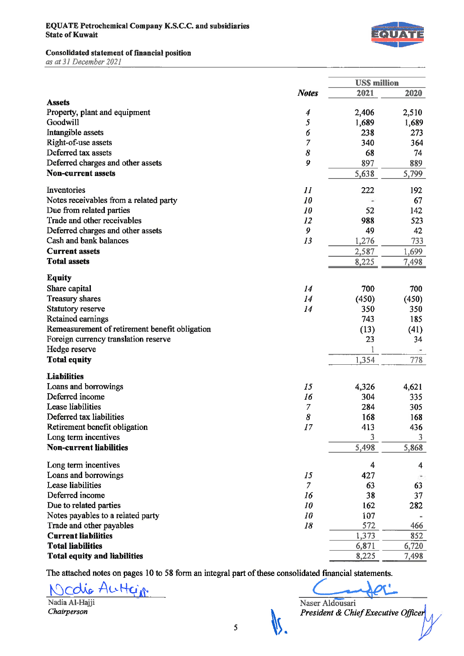

### Consolidated statement of financial position

as at 31 December 2021

|                                                |                | <b>USS million</b> |       |  |
|------------------------------------------------|----------------|--------------------|-------|--|
|                                                | <b>Notes</b>   | 2021               | 2020  |  |
| <b>Assets</b>                                  |                |                    |       |  |
| Property, plant and equipment                  | 4              | 2,406              | 2,510 |  |
| Goodwill                                       | 5              | 1,689              | 1,689 |  |
| Intangible assets                              | 6              | 238                | 273   |  |
| Right-of-use assets                            | 7              | 340                | 364   |  |
| Deferred tax assets                            | 8              | 68                 | 74    |  |
| Deferred charges and other assets              | 9              | 897                | 889   |  |
| <b>Non-current assets</b>                      |                | 5,638              | 5,799 |  |
| Inventories                                    | $_{II}$        | 222                | 192   |  |
| Notes receivables from a related party         | 10             |                    | 67    |  |
| Due from related parties                       | 10             | 52                 | 142   |  |
| Trade and other receivables                    | 12             | 988                | 523   |  |
| Deferred charges and other assets              | 9              | 49                 | 42    |  |
| Cash and bank balances                         | 13             | 1,276              | 733   |  |
| <b>Current assets</b>                          |                | 2,587              | 1,699 |  |
| <b>Total assets</b>                            |                | 8,225              | 7,498 |  |
| <b>Equity</b>                                  |                |                    |       |  |
| Share capital                                  | 14             | 700                | 700   |  |
| <b>Treasury shares</b>                         | 14             | (450)              | (450) |  |
| Statutory reserve                              | 14             | 350                | 350   |  |
| Retained earnings                              |                | 743                | 185   |  |
| Remeasurement of retirement benefit obligation |                | (13)               | (41)  |  |
| Foreign currency translation reserve           |                | 23                 | 34    |  |
| Hedge reserve                                  |                |                    |       |  |
| <b>Total equity</b>                            |                | 1,354              | 778   |  |
| <b>Liabilities</b>                             |                |                    |       |  |
| Loans and borrowings                           | 15             | 4,326              | 4,621 |  |
| Deferred income                                | 16             | 304                | 335   |  |
| Lease liabilities                              | 7              | 284                | 305   |  |
| Deferred tax liabilities                       | 8              | 168                | 168   |  |
| Retirement benefit obligation                  | 17             | 413                | 436   |  |
| Long term incentives                           |                | 3                  | 3     |  |
| <b>Non-current liabilities</b>                 |                | 5,498              | 5,868 |  |
| Long term incentives                           |                | 4                  | 4     |  |
| Loans and borrowings                           | 15             | 427                |       |  |
| Lease liabilities                              | $\overline{7}$ | 63                 | 63    |  |
| Deferred income                                | 16             | 38                 | 37    |  |
| Due to related parties                         | 10             | 162                | 282   |  |
| Notes payables to a related party              | 10             | 107                |       |  |
| Trade and other payables                       | 18             | 572                | 466   |  |
| <b>Current liabilities</b>                     |                | 1,373              | 852   |  |
| <b>Total liabilities</b>                       |                | 6,871              | 6,720 |  |
| <b>Total equity and liabilities</b>            |                | 8,225              | 7,498 |  |
|                                                |                |                    |       |  |

The attached notes on pages 10 to 58 form an integral part of these consolidated financial statements.

Nedio Auttein

Nadia Al-Hajji Chairperson

Naser Aldousari President & Chief Executive Officer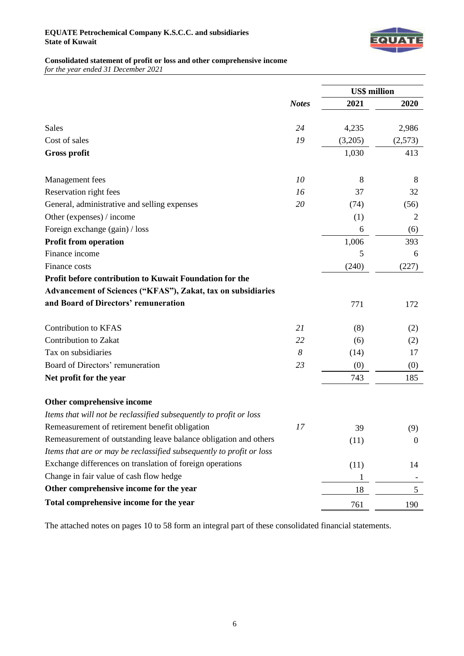#### **EQUATE Petrochemical Company K.S.C.C. and subsidiaries State of Kuwait**



## **Consolidated statement of profit or loss and other comprehensive income**

*for the year ended 31 December 2021*

|                                                                      |              |         | <b>US\$</b> million |  |
|----------------------------------------------------------------------|--------------|---------|---------------------|--|
|                                                                      | <b>Notes</b> | 2021    | 2020                |  |
| <b>Sales</b>                                                         | 24           | 4,235   | 2,986               |  |
| Cost of sales                                                        | 19           | (3,205) | (2,573)             |  |
| <b>Gross profit</b>                                                  |              | 1,030   | 413                 |  |
| Management fees                                                      | 10           | 8       | 8                   |  |
| Reservation right fees                                               | 16           | 37      | 32                  |  |
| General, administrative and selling expenses                         | 20           | (74)    | (56)                |  |
| Other (expenses) / income                                            |              | (1)     | 2                   |  |
| Foreign exchange (gain) / loss                                       |              | 6       | (6)                 |  |
| <b>Profit from operation</b>                                         |              | 1,006   | 393                 |  |
| Finance income                                                       |              | 5       | 6                   |  |
| Finance costs                                                        |              | (240)   | (227)               |  |
| Profit before contribution to Kuwait Foundation for the              |              |         |                     |  |
| Advancement of Sciences ("KFAS"), Zakat, tax on subsidiaries         |              |         |                     |  |
| and Board of Directors' remuneration                                 |              | 771     | 172                 |  |
| <b>Contribution to KFAS</b>                                          | 21           | (8)     | (2)                 |  |
| Contribution to Zakat                                                | 22           | (6)     | (2)                 |  |
| Tax on subsidiaries                                                  | 8            | (14)    | 17                  |  |
| Board of Directors' remuneration                                     | 23           | (0)     | (0)                 |  |
| Net profit for the year                                              |              | 743     | 185                 |  |
| Other comprehensive income                                           |              |         |                     |  |
| Items that will not be reclassified subsequently to profit or loss   |              |         |                     |  |
| Remeasurement of retirement benefit obligation                       | 17           | 39      | (9)                 |  |
| Remeasurement of outstanding leave balance obligation and others     |              | (11)    | $\boldsymbol{0}$    |  |
| Items that are or may be reclassified subsequently to profit or loss |              |         |                     |  |
| Exchange differences on translation of foreign operations            |              | (11)    | 14                  |  |
| Change in fair value of cash flow hedge                              |              | 1       |                     |  |
| Other comprehensive income for the year                              |              | 18      | 5                   |  |
| Total comprehensive income for the year                              |              | 761     | 190                 |  |

The attached notes on pages 10 to 58 form an integral part of these consolidated financial statements.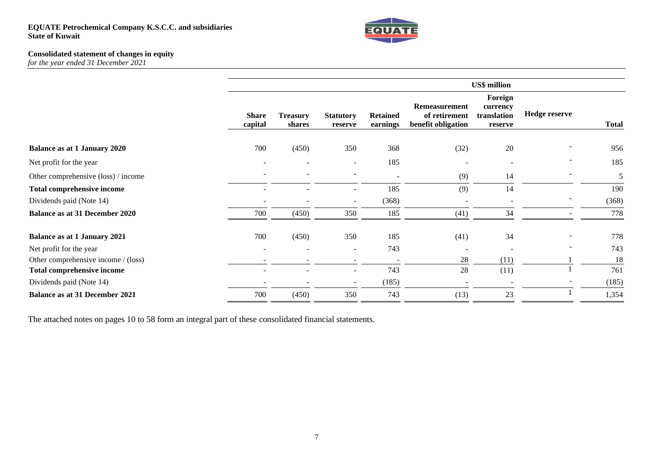

## **Consolidated statement of changes in equity**

*for the year ended 31 December 2021*

|                                       | <b>US\$</b> million     |                           |                             |                             |                                                             |                                               |                      |              |
|---------------------------------------|-------------------------|---------------------------|-----------------------------|-----------------------------|-------------------------------------------------------------|-----------------------------------------------|----------------------|--------------|
|                                       | <b>Share</b><br>capital | <b>Treasury</b><br>shares | <b>Statutory</b><br>reserve | <b>Retained</b><br>earnings | <b>Remeasurement</b><br>of retirement<br>benefit obligation | Foreign<br>currency<br>translation<br>reserve | <b>Hedge reserve</b> | <b>Total</b> |
| <b>Balance as at 1 January 2020</b>   | 700                     | (450)                     | 350                         | 368                         | (32)                                                        | 20                                            |                      | 956          |
| Net profit for the year               |                         | $\blacksquare$            | $\sim$                      | 185                         |                                                             | $\overline{\phantom{a}}$                      |                      | 185          |
| Other comprehensive (loss) / income   |                         |                           |                             | $\overline{\phantom{a}}$    | (9)                                                         | 14                                            |                      | 5            |
| <b>Total comprehensive income</b>     |                         |                           |                             | 185                         | (9)                                                         | 14                                            |                      | 190          |
| Dividends paid (Note 14)              |                         |                           |                             | (368)                       |                                                             |                                               |                      | (368)        |
| <b>Balance as at 31 December 2020</b> | 700                     | (450)                     | 350                         | 185                         | (41)                                                        | 34                                            |                      | 778          |
| <b>Balance as at 1 January 2021</b>   | 700                     | (450)                     | 350                         | 185                         | (41)                                                        | 34                                            |                      | 778          |
| Net profit for the year               |                         |                           |                             | 743                         |                                                             |                                               |                      | 743          |
| Other comprehensive income / (loss)   |                         |                           |                             |                             | 28                                                          | (11)                                          |                      | 18           |
| <b>Total comprehensive income</b>     |                         |                           | $\sim$                      | 743                         | 28                                                          | (11)                                          |                      | 761          |
| Dividends paid (Note 14)              |                         |                           |                             | (185)                       |                                                             | $\overline{\phantom{a}}$                      |                      | (185)        |
| <b>Balance as at 31 December 2021</b> | 700                     | (450)                     | 350                         | 743                         | (13)                                                        | 23                                            |                      | 1,354        |

The attached notes on pages 10 to 58 form an integral part of these consolidated financial statements.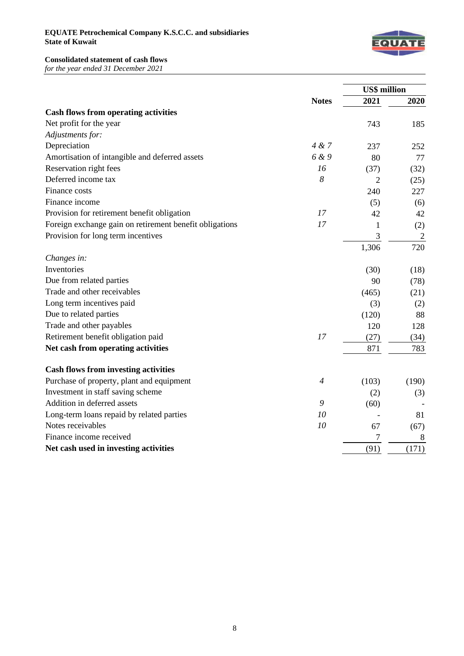

## **Consolidated statement of cash flows**

*for the year ended 31 December 2021*

|                                                         |                | <b>US\$</b> million |                |
|---------------------------------------------------------|----------------|---------------------|----------------|
|                                                         | <b>Notes</b>   | 2021                | 2020           |
| <b>Cash flows from operating activities</b>             |                |                     |                |
| Net profit for the year                                 |                | 743                 | 185            |
| Adjustments for:                                        |                |                     |                |
| Depreciation                                            | 4 & 7          | 237                 | 252            |
| Amortisation of intangible and deferred assets          | 6 & 9          | 80                  | 77             |
| Reservation right fees                                  | 16             | (37)                | (32)           |
| Deferred income tax                                     | 8              | $\overline{2}$      | (25)           |
| Finance costs                                           |                | 240                 | 227            |
| Finance income                                          |                | (5)                 | (6)            |
| Provision for retirement benefit obligation             | 17             | 42                  | 42             |
| Foreign exchange gain on retirement benefit obligations | 17             | 1                   | (2)            |
| Provision for long term incentives                      |                | 3                   | $\overline{c}$ |
|                                                         |                | 1,306               | 720            |
| Changes in:                                             |                |                     |                |
| Inventories                                             |                | (30)                | (18)           |
| Due from related parties                                |                | 90                  | (78)           |
| Trade and other receivables                             |                | (465)               | (21)           |
| Long term incentives paid                               |                | (3)                 | (2)            |
| Due to related parties                                  |                | (120)               | 88             |
| Trade and other payables                                |                | 120                 | 128            |
| Retirement benefit obligation paid                      | 17             | (27)                | (34)           |
| Net cash from operating activities                      |                | 871                 | 783            |
| <b>Cash flows from investing activities</b>             |                |                     |                |
|                                                         |                |                     |                |
| Purchase of property, plant and equipment               | $\overline{4}$ | (103)               | (190)          |
| Investment in staff saving scheme                       |                | (2)                 | (3)            |
| Addition in deferred assets                             | 9              | (60)                |                |
| Long-term loans repaid by related parties               | 10             |                     | 81             |
| Notes receivables                                       | 10             | 67                  | (67)           |
| Finance income received                                 |                | 7                   | 8              |
| Net cash used in investing activities                   |                | (91)                | (171)          |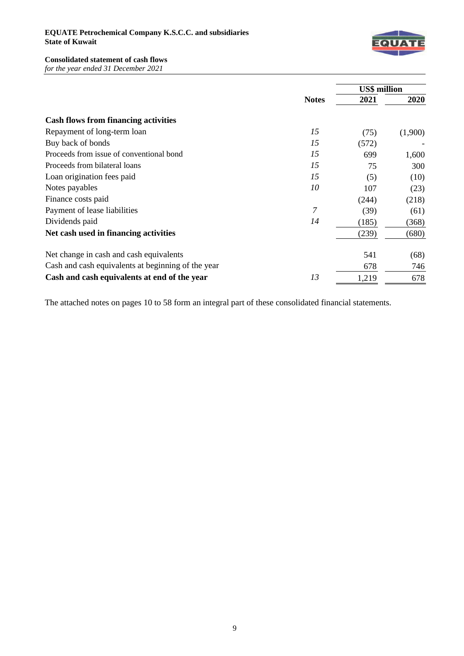

## **Consolidated statement of cash flows**

*for the year ended 31 December 2021*

|                                                    |              | <b>US\$</b> million |         |
|----------------------------------------------------|--------------|---------------------|---------|
|                                                    | <b>Notes</b> | 2021                | 2020    |
| <b>Cash flows from financing activities</b>        |              |                     |         |
| Repayment of long-term loan                        | 15           | (75)                | (1,900) |
| Buy back of bonds                                  | 15           | (572)               |         |
| Proceeds from issue of conventional bond           | 15           | 699                 | 1,600   |
| Proceeds from bilateral loans                      | 15           | 75                  | 300     |
| Loan origination fees paid                         | 15           | (5)                 | (10)    |
| Notes payables                                     | 10           | 107                 | (23)    |
| Finance costs paid                                 |              | (244)               | (218)   |
| Payment of lease liabilities                       | 7            | (39)                | (61)    |
| Dividends paid                                     | 14           | (185)               | (368)   |
| Net cash used in financing activities              |              | (239)               | (680)   |
| Net change in cash and cash equivalents            |              | 541                 | (68)    |
| Cash and cash equivalents at beginning of the year |              | 678                 | 746     |
| Cash and cash equivalents at end of the year       | 13           | 1,219               | 678     |

The attached notes on pages 10 to 58 form an integral part of these consolidated financial statements.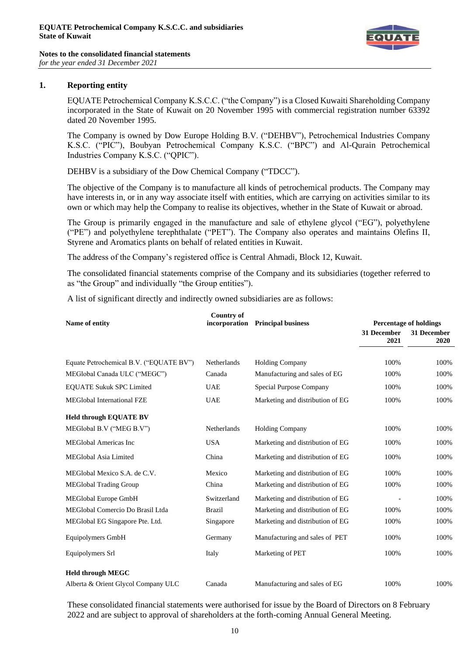

## **1. Reporting entity**

EQUATE Petrochemical Company K.S.C.C. ("the Company") is a Closed Kuwaiti Shareholding Company incorporated in the State of Kuwait on 20 November 1995 with commercial registration number 63392 dated 20 November 1995.

The Company is owned by Dow Europe Holding B.V. ("DEHBV"), Petrochemical Industries Company K.S.C. ("PIC"), Boubyan Petrochemical Company K.S.C. ("BPC") and Al-Qurain Petrochemical Industries Company K.S.C. ("QPIC").

DEHBV is a subsidiary of the Dow Chemical Company ("TDCC").

The objective of the Company is to manufacture all kinds of petrochemical products. The Company may have interests in, or in any way associate itself with entities, which are carrying on activities similar to its own or which may help the Company to realise its objectives, whether in the State of Kuwait or abroad.

The Group is primarily engaged in the manufacture and sale of ethylene glycol ("EG"), polyethylene ("PE") and polyethylene terephthalate ("PET"). The Company also operates and maintains Olefins II, Styrene and Aromatics plants on behalf of related entities in Kuwait.

The address of the Company's registered office is Central Ahmadi, Block 12, Kuwait.

The consolidated financial statements comprise of the Company and its subsidiaries (together referred to as "the Group" and individually "the Group entities").

A list of significant directly and indirectly owned subsidiaries are as follows:

| Name of entity                          | <b>Country of</b><br>incorporation<br><b>Principal business</b> |                                  | <b>Percentage of holdings</b> |                     |  |
|-----------------------------------------|-----------------------------------------------------------------|----------------------------------|-------------------------------|---------------------|--|
|                                         |                                                                 |                                  | 31 December<br>2021           | 31 December<br>2020 |  |
| Equate Petrochemical B.V. ("EQUATE BV") | Netherlands                                                     | <b>Holding Company</b>           | 100%                          | 100%                |  |
| MEGlobal Canada ULC ("MEGC")            | Canada                                                          | Manufacturing and sales of EG    | 100%                          | 100%                |  |
| <b>EQUATE Sukuk SPC Limited</b>         | <b>UAE</b>                                                      | Special Purpose Company          | 100%                          | 100%                |  |
| MEGlobal International FZE              | <b>UAE</b>                                                      | Marketing and distribution of EG | 100%                          | 100%                |  |
| <b>Held through EQUATE BV</b>           |                                                                 |                                  |                               |                     |  |
| MEGlobal B.V ("MEG B.V")                | Netherlands                                                     | <b>Holding Company</b>           | 100%                          | 100%                |  |
| <b>MEGlobal Americas Inc</b>            | <b>USA</b>                                                      | Marketing and distribution of EG | 100%                          | 100%                |  |
| <b>MEGlobal Asia Limited</b>            | China                                                           | Marketing and distribution of EG | 100%                          | 100%                |  |
| MEGlobal Mexico S.A. de C.V.            | Mexico                                                          | Marketing and distribution of EG | 100%                          | 100%                |  |
| <b>MEGlobal Trading Group</b>           | China                                                           | Marketing and distribution of EG | 100%                          | 100%                |  |
| MEGlobal Europe GmbH                    | Switzerland                                                     | Marketing and distribution of EG |                               | 100%                |  |
| MEGlobal Comercio Do Brasil Ltda        | <b>Brazil</b>                                                   | Marketing and distribution of EG | 100%                          | 100%                |  |
| MEGlobal EG Singapore Pte. Ltd.         | Singapore                                                       | Marketing and distribution of EG | 100%                          | 100%                |  |
| Equipolymers GmbH                       | Germany                                                         | Manufacturing and sales of PET   | 100%                          | 100%                |  |
| Equipolymers Srl                        | Italy                                                           | Marketing of PET                 | 100%                          | 100%                |  |
| <b>Held through MEGC</b>                |                                                                 |                                  |                               |                     |  |
| Alberta & Orient Glycol Company ULC     | Canada                                                          | Manufacturing and sales of EG    | 100%                          | 100%                |  |

These consolidated financial statements were authorised for issue by the Board of Directors on 8 February 2022 and are subject to approval of shareholders at the forth-coming Annual General Meeting.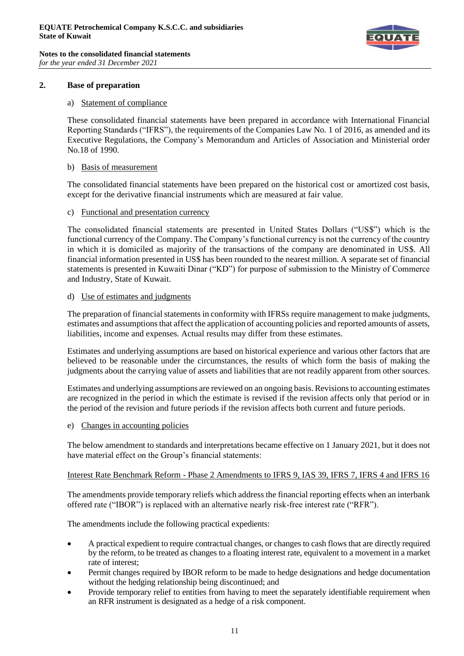

## **2. Base of preparation**

## a) Statement of compliance

These consolidated financial statements have been prepared in accordance with International Financial Reporting Standards ("IFRS"), the requirements of the Companies Law No. 1 of 2016, as amended and its Executive Regulations, the Company's Memorandum and Articles of Association and Ministerial order No.18 of 1990.

## b) Basis of measurement

The consolidated financial statements have been prepared on the historical cost or amortized cost basis, except for the derivative financial instruments which are measured at fair value.

#### c) Functional and presentation currency

The consolidated financial statements are presented in United States Dollars ("US\$") which is the functional currency of the Company. The Company's functional currency is not the currency of the country in which it is domiciled as majority of the transactions of the company are denominated in US\$. All financial information presented in US\$ has been rounded to the nearest million. A separate set of financial statements is presented in Kuwaiti Dinar ("KD") for purpose of submission to the Ministry of Commerce and Industry, State of Kuwait.

#### d) Use of estimates and judgments

The preparation of financial statements in conformity with IFRSs require management to make judgments, estimates and assumptions that affect the application of accounting policies and reported amounts of assets, liabilities, income and expenses. Actual results may differ from these estimates.

Estimates and underlying assumptions are based on historical experience and various other factors that are believed to be reasonable under the circumstances, the results of which form the basis of making the judgments about the carrying value of assets and liabilities that are not readily apparent from other sources.

Estimates and underlying assumptions are reviewed on an ongoing basis. Revisions to accounting estimates are recognized in the period in which the estimate is revised if the revision affects only that period or in the period of the revision and future periods if the revision affects both current and future periods.

e) Changes in accounting policies

The below amendment to standards and interpretations became effective on 1 January 2021, but it does not have material effect on the Group's financial statements:

## Interest Rate Benchmark Reform - Phase 2 Amendments to IFRS 9, IAS 39, IFRS 7, IFRS 4 and IFRS 16

The amendments provide temporary reliefs which address the financial reporting effects when an interbank offered rate ("IBOR") is replaced with an alternative nearly risk-free interest rate ("RFR").

The amendments include the following practical expedients:

- A practical expedient to require contractual changes, or changes to cash flows that are directly required by the reform, to be treated as changes to a floating interest rate, equivalent to a movement in a market rate of interest;
- Permit changes required by IBOR reform to be made to hedge designations and hedge documentation without the hedging relationship being discontinued; and
- Provide temporary relief to entities from having to meet the separately identifiable requirement when an RFR instrument is designated as a hedge of a risk component.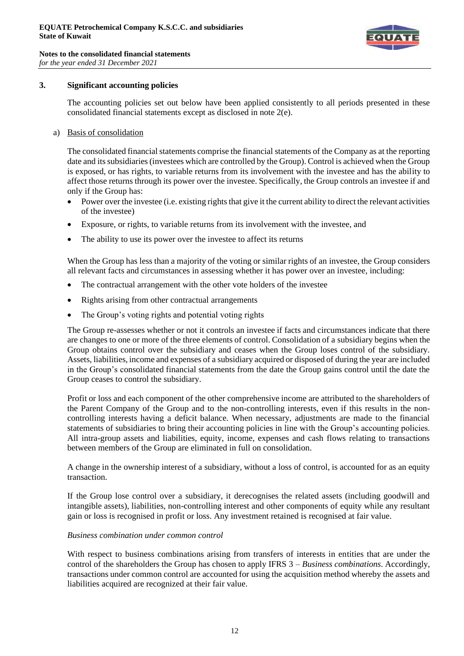

## **3. Significant accounting policies**

The accounting policies set out below have been applied consistently to all periods presented in these consolidated financial statements except as disclosed in note 2(e).

## a) Basis of consolidation

The consolidated financial statements comprise the financial statements of the Company as at the reporting date and its subsidiaries (investees which are controlled by the Group). Control is achieved when the Group is exposed, or has rights, to variable returns from its involvement with the investee and has the ability to affect those returns through its power over the investee. Specifically, the Group controls an investee if and only if the Group has:

- Power over the investee (i.e. existing rights that give it the current ability to direct the relevant activities of the investee)
- Exposure, or rights, to variable returns from its involvement with the investee, and
- The ability to use its power over the investee to affect its returns

When the Group has less than a majority of the voting or similar rights of an investee, the Group considers all relevant facts and circumstances in assessing whether it has power over an investee, including:

- The contractual arrangement with the other vote holders of the investee
- Rights arising from other contractual arrangements
- The Group's voting rights and potential voting rights

The Group re-assesses whether or not it controls an investee if facts and circumstances indicate that there are changes to one or more of the three elements of control. Consolidation of a subsidiary begins when the Group obtains control over the subsidiary and ceases when the Group loses control of the subsidiary. Assets, liabilities, income and expenses of a subsidiary acquired or disposed of during the year are included in the Group's consolidated financial statements from the date the Group gains control until the date the Group ceases to control the subsidiary.

Profit or loss and each component of the other comprehensive income are attributed to the shareholders of the Parent Company of the Group and to the non-controlling interests, even if this results in the noncontrolling interests having a deficit balance. When necessary, adjustments are made to the financial statements of subsidiaries to bring their accounting policies in line with the Group's accounting policies. All intra-group assets and liabilities, equity, income, expenses and cash flows relating to transactions between members of the Group are eliminated in full on consolidation.

A change in the ownership interest of a subsidiary, without a loss of control, is accounted for as an equity transaction.

If the Group lose control over a subsidiary, it derecognises the related assets (including goodwill and intangible assets), liabilities, non-controlling interest and other components of equity while any resultant gain or loss is recognised in profit or loss. Any investment retained is recognised at fair value.

## *Business combination under common control*

With respect to business combinations arising from transfers of interests in entities that are under the control of the shareholders the Group has chosen to apply IFRS 3 – *Business combinations*. Accordingly, transactions under common control are accounted for using the acquisition method whereby the assets and liabilities acquired are recognized at their fair value.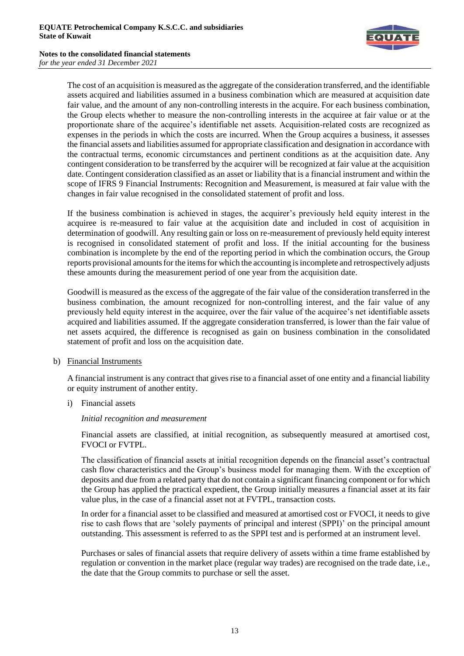

> The cost of an acquisition is measured as the aggregate of the consideration transferred, and the identifiable assets acquired and liabilities assumed in a business combination which are measured at acquisition date fair value, and the amount of any non-controlling interests in the acquire. For each business combination, the Group elects whether to measure the non-controlling interests in the acquiree at fair value or at the proportionate share of the acquiree's identifiable net assets. Acquisition-related costs are recognized as expenses in the periods in which the costs are incurred. When the Group acquires a business, it assesses the financial assets and liabilities assumed for appropriate classification and designation in accordance with the contractual terms, economic circumstances and pertinent conditions as at the acquisition date. Any contingent consideration to be transferred by the acquirer will be recognized at fair value at the acquisition date. Contingent consideration classified as an asset or liability that is a financial instrument and within the scope of IFRS 9 Financial Instruments: Recognition and Measurement, is measured at fair value with the changes in fair value recognised in the consolidated statement of profit and loss.

> If the business combination is achieved in stages, the acquirer's previously held equity interest in the acquiree is re-measured to fair value at the acquisition date and included in cost of acquisition in determination of goodwill. Any resulting gain or loss on re-measurement of previously held equity interest is recognised in consolidated statement of profit and loss. If the initial accounting for the business combination is incomplete by the end of the reporting period in which the combination occurs, the Group reports provisional amounts for the items for which the accounting is incomplete and retrospectively adjusts these amounts during the measurement period of one year from the acquisition date.

> Goodwill is measured as the excess of the aggregate of the fair value of the consideration transferred in the business combination, the amount recognized for non-controlling interest, and the fair value of any previously held equity interest in the acquiree, over the fair value of the acquiree's net identifiable assets acquired and liabilities assumed. If the aggregate consideration transferred, is lower than the fair value of net assets acquired, the difference is recognised as gain on business combination in the consolidated statement of profit and loss on the acquisition date.

## b) Financial Instruments

A financial instrument is any contract that gives rise to a financial asset of one entity and a financial liability or equity instrument of another entity.

i) Financial assets

## *Initial recognition and measurement*

Financial assets are classified, at initial recognition, as subsequently measured at amortised cost, FVOCI or FVTPL.

The classification of financial assets at initial recognition depends on the financial asset's contractual cash flow characteristics and the Group's business model for managing them. With the exception of deposits and due from a related party that do not contain a significant financing component or for which the Group has applied the practical expedient, the Group initially measures a financial asset at its fair value plus, in the case of a financial asset not at FVTPL, transaction costs.

In order for a financial asset to be classified and measured at amortised cost or FVOCI, it needs to give rise to cash flows that are 'solely payments of principal and interest (SPPI)' on the principal amount outstanding. This assessment is referred to as the SPPI test and is performed at an instrument level.

Purchases or sales of financial assets that require delivery of assets within a time frame established by regulation or convention in the market place (regular way trades) are recognised on the trade date, i.e., the date that the Group commits to purchase or sell the asset.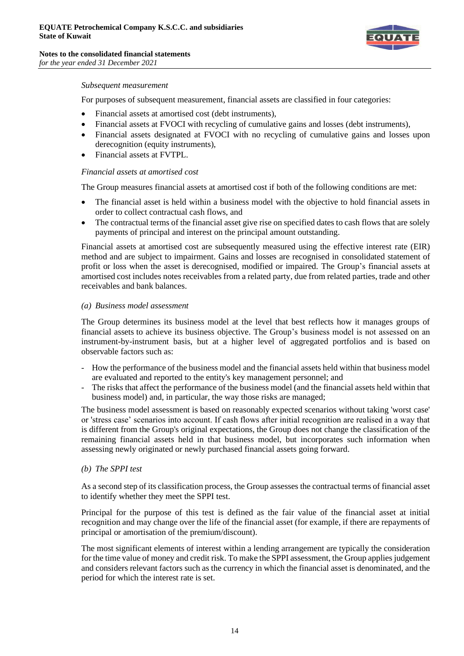

## *Subsequent measurement*

For purposes of subsequent measurement, financial assets are classified in four categories:

- Financial assets at amortised cost (debt instruments),
- Financial assets at FVOCI with recycling of cumulative gains and losses (debt instruments),
- Financial assets designated at FVOCI with no recycling of cumulative gains and losses upon derecognition (equity instruments),
- Financial assets at FVTPL.

## *Financial assets at amortised cost*

The Group measures financial assets at amortised cost if both of the following conditions are met:

- The financial asset is held within a business model with the objective to hold financial assets in order to collect contractual cash flows, and
- The contractual terms of the financial asset give rise on specified dates to cash flows that are solely payments of principal and interest on the principal amount outstanding.

Financial assets at amortised cost are subsequently measured using the effective interest rate (EIR) method and are subject to impairment. Gains and losses are recognised in consolidated statement of profit or loss when the asset is derecognised, modified or impaired. The Group's financial assets at amortised cost includes notes receivables from a related party, due from related parties, trade and other receivables and bank balances.

#### *(a) Business model assessment*

The Group determines its business model at the level that best reflects how it manages groups of financial assets to achieve its business objective. The Group's business model is not assessed on an instrument-by-instrument basis, but at a higher level of aggregated portfolios and is based on observable factors such as:

- How the performance of the business model and the financial assets held within that business model are evaluated and reported to the entity's key management personnel; and
- The risks that affect the performance of the business model (and the financial assets held within that business model) and, in particular, the way those risks are managed;

The business model assessment is based on reasonably expected scenarios without taking 'worst case' or 'stress case' scenarios into account. If cash flows after initial recognition are realised in a way that is different from the Group's original expectations, the Group does not change the classification of the remaining financial assets held in that business model, but incorporates such information when assessing newly originated or newly purchased financial assets going forward.

## *(b) The SPPI test*

As a second step of its classification process, the Group assesses the contractual terms of financial asset to identify whether they meet the SPPI test.

Principal for the purpose of this test is defined as the fair value of the financial asset at initial recognition and may change over the life of the financial asset (for example, if there are repayments of principal or amortisation of the premium/discount).

The most significant elements of interest within a lending arrangement are typically the consideration for the time value of money and credit risk. To make the SPPI assessment, the Group applies judgement and considers relevant factors such as the currency in which the financial asset is denominated, and the period for which the interest rate is set.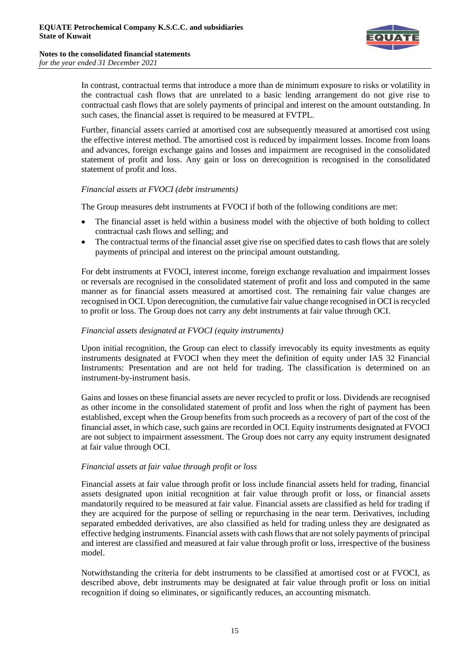

In contrast, contractual terms that introduce a more than de minimum exposure to risks or volatility in the contractual cash flows that are unrelated to a basic lending arrangement do not give rise to contractual cash flows that are solely payments of principal and interest on the amount outstanding. In such cases, the financial asset is required to be measured at FVTPL.

Further, financial assets carried at amortised cost are subsequently measured at amortised cost using the effective interest method. The amortised cost is reduced by impairment losses. Income from loans and advances, foreign exchange gains and losses and impairment are recognised in the consolidated statement of profit and loss. Any gain or loss on derecognition is recognised in the consolidated statement of profit and loss.

## *Financial assets at FVOCI (debt instruments)*

The Group measures debt instruments at FVOCI if both of the following conditions are met:

- The financial asset is held within a business model with the objective of both holding to collect contractual cash flows and selling; and
- The contractual terms of the financial asset give rise on specified dates to cash flows that are solely payments of principal and interest on the principal amount outstanding.

For debt instruments at FVOCI, interest income, foreign exchange revaluation and impairment losses or reversals are recognised in the consolidated statement of profit and loss and computed in the same manner as for financial assets measured at amortised cost. The remaining fair value changes are recognised in OCI. Upon derecognition, the cumulative fair value change recognised in OCI is recycled to profit or loss. The Group does not carry any debt instruments at fair value through OCI.

## *Financial assets designated at FVOCI (equity instruments)*

Upon initial recognition, the Group can elect to classify irrevocably its equity investments as equity instruments designated at FVOCI when they meet the definition of equity under IAS 32 Financial Instruments: Presentation and are not held for trading. The classification is determined on an instrument-by-instrument basis.

Gains and losses on these financial assets are never recycled to profit or loss. Dividends are recognised as other income in the consolidated statement of profit and loss when the right of payment has been established, except when the Group benefits from such proceeds as a recovery of part of the cost of the financial asset, in which case, such gains are recorded in OCI. Equity instruments designated at FVOCI are not subject to impairment assessment. The Group does not carry any equity instrument designated at fair value through OCI.

## *Financial assets at fair value through profit or loss*

Financial assets at fair value through profit or loss include financial assets held for trading, financial assets designated upon initial recognition at fair value through profit or loss, or financial assets mandatorily required to be measured at fair value. Financial assets are classified as held for trading if they are acquired for the purpose of selling or repurchasing in the near term. Derivatives, including separated embedded derivatives, are also classified as held for trading unless they are designated as effective hedging instruments. Financial assets with cash flows that are not solely payments of principal and interest are classified and measured at fair value through profit or loss, irrespective of the business model.

Notwithstanding the criteria for debt instruments to be classified at amortised cost or at FVOCI, as described above, debt instruments may be designated at fair value through profit or loss on initial recognition if doing so eliminates, or significantly reduces, an accounting mismatch.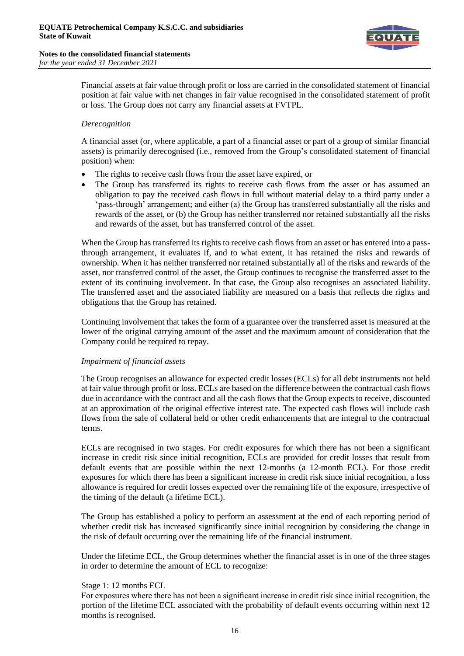

Financial assets at fair value through profit or loss are carried in the consolidated statement of financial position at fair value with net changes in fair value recognised in the consolidated statement of profit or loss. The Group does not carry any financial assets at FVTPL.

## *Derecognition*

A financial asset (or, where applicable, a part of a financial asset or part of a group of similar financial assets) is primarily derecognised (i.e., removed from the Group's consolidated statement of financial position) when:

- The rights to receive cash flows from the asset have expired, or
- The Group has transferred its rights to receive cash flows from the asset or has assumed an obligation to pay the received cash flows in full without material delay to a third party under a 'pass-through' arrangement; and either (a) the Group has transferred substantially all the risks and rewards of the asset, or (b) the Group has neither transferred nor retained substantially all the risks and rewards of the asset, but has transferred control of the asset.

When the Group has transferred its rights to receive cash flows from an asset or has entered into a passthrough arrangement, it evaluates if, and to what extent, it has retained the risks and rewards of ownership. When it has neither transferred nor retained substantially all of the risks and rewards of the asset, nor transferred control of the asset, the Group continues to recognise the transferred asset to the extent of its continuing involvement. In that case, the Group also recognises an associated liability. The transferred asset and the associated liability are measured on a basis that reflects the rights and obligations that the Group has retained.

Continuing involvement that takes the form of a guarantee over the transferred asset is measured at the lower of the original carrying amount of the asset and the maximum amount of consideration that the Company could be required to repay.

#### *Impairment of financial assets*

The Group recognises an allowance for expected credit losses (ECLs) for all debt instruments not held at fair value through profit or loss. ECLs are based on the difference between the contractual cash flows due in accordance with the contract and all the cash flows that the Group expects to receive, discounted at an approximation of the original effective interest rate. The expected cash flows will include cash flows from the sale of collateral held or other credit enhancements that are integral to the contractual terms.

ECLs are recognised in two stages. For credit exposures for which there has not been a significant increase in credit risk since initial recognition, ECLs are provided for credit losses that result from default events that are possible within the next 12-months (a 12-month ECL). For those credit exposures for which there has been a significant increase in credit risk since initial recognition, a loss allowance is required for credit losses expected over the remaining life of the exposure, irrespective of the timing of the default (a lifetime ECL).

The Group has established a policy to perform an assessment at the end of each reporting period of whether credit risk has increased significantly since initial recognition by considering the change in the risk of default occurring over the remaining life of the financial instrument.

Under the lifetime ECL, the Group determines whether the financial asset is in one of the three stages in order to determine the amount of ECL to recognize:

## Stage 1: 12 months ECL

For exposures where there has not been a significant increase in credit risk since initial recognition, the portion of the lifetime ECL associated with the probability of default events occurring within next 12 months is recognised.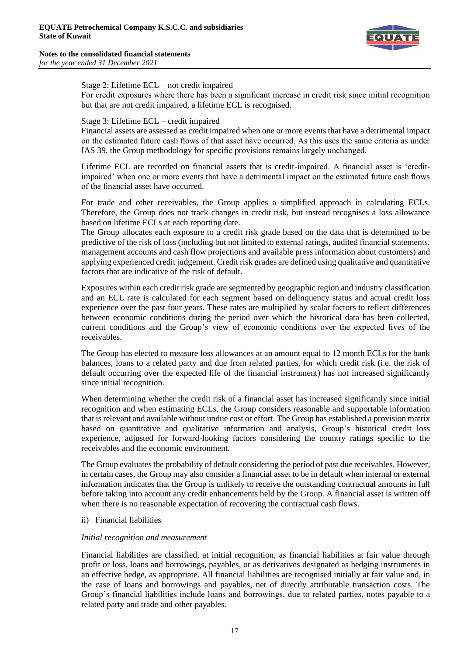



Stage 2: Lifetime ECL – not credit impaired

For credit exposures where there has been a significant increase in credit risk since initial recognition but that are not credit impaired, a lifetime ECL is recognised.

## Stage 3: Lifetime ECL – credit impaired

Financial assets are assessed as credit impaired when one or more events that have a detrimental impact on the estimated future cash flows of that asset have occurred. As this uses the same criteria as under IAS 39, the Group methodology for specific provisions remains largely unchanged.

Lifetime ECL are recorded on financial assets that is credit-impaired. A financial asset is 'creditimpaired' when one or more events that have a detrimental impact on the estimated future cash flows of the financial asset have occurred.

For trade and other receivables, the Group applies a simplified approach in calculating ECLs. Therefore, the Group does not track changes in credit risk, but instead recognises a loss allowance based on lifetime ECLs at each reporting date.

The Group allocates each exposure to a credit risk grade based on the data that is determined to be predictive of the risk of loss (including but not limited to external ratings, audited financial statements, management accounts and cash flow projections and available press information about customers) and applying experienced credit judgement. Credit risk grades are defined using qualitative and quantitative factors that are indicative of the risk of default.

Exposures within each credit risk grade are segmented by geographic region and industry classification and an ECL rate is calculated for each segment based on delinquency status and actual credit loss experience over the past four years. These rates are multiplied by scalar factors to reflect differences between economic conditions during the period over which the historical data has been collected, current conditions and the Group's view of economic conditions over the expected lives of the receivables.

The Group has elected to measure loss allowances at an amount equal to 12 month ECLs for the bank balances, loans to a related party and due from related parties, for which credit risk (i.e. the risk of default occurring over the expected life of the financial instrument) has not increased significantly since initial recognition.

When determining whether the credit risk of a financial asset has increased significantly since initial recognition and when estimating ECLs, the Group considers reasonable and supportable information that is relevant and available without undue cost or effort. The Group has established a provision matrix based on quantitative and qualitative information and analysis, Group's historical credit loss experience, adjusted for forward-looking factors considering the country ratings specific to the receivables and the economic environment.

The Group evaluates the probability of default considering the period of past due receivables. However, in certain cases, the Group may also consider a financial asset to be in default when internal or external information indicates that the Group is unlikely to receive the outstanding contractual amounts in full before taking into account any credit enhancements held by the Group. A financial asset is written off when there is no reasonable expectation of recovering the contractual cash flows.

## ii) Financial liabilities

#### *Initial recognition and measurement*

Financial liabilities are classified, at initial recognition, as financial liabilities at fair value through profit or loss, loans and borrowings, payables, or as derivatives designated as hedging instruments in an effective hedge, as appropriate. All financial liabilities are recognised initially at fair value and, in the case of loans and borrowings and payables, net of directly attributable transaction costs. The Group's financial liabilities include loans and borrowings, due to related parties, notes payable to a related party and trade and other payables.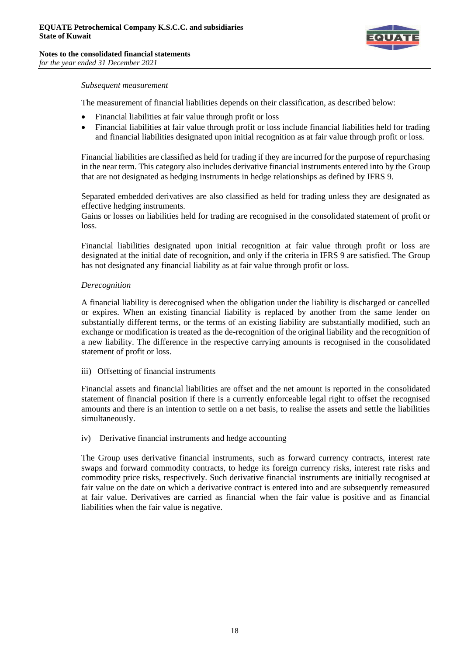

### *Subsequent measurement*

The measurement of financial liabilities depends on their classification, as described below:

- Financial liabilities at fair value through profit or loss
- Financial liabilities at fair value through profit or loss include financial liabilities held for trading and financial liabilities designated upon initial recognition as at fair value through profit or loss.

Financial liabilities are classified as held for trading if they are incurred for the purpose of repurchasing in the near term. This category also includes derivative financial instruments entered into by the Group that are not designated as hedging instruments in hedge relationships as defined by IFRS 9.

Separated embedded derivatives are also classified as held for trading unless they are designated as effective hedging instruments.

Gains or losses on liabilities held for trading are recognised in the consolidated statement of profit or loss.

Financial liabilities designated upon initial recognition at fair value through profit or loss are designated at the initial date of recognition, and only if the criteria in IFRS 9 are satisfied. The Group has not designated any financial liability as at fair value through profit or loss.

## *Derecognition*

A financial liability is derecognised when the obligation under the liability is discharged or cancelled or expires. When an existing financial liability is replaced by another from the same lender on substantially different terms, or the terms of an existing liability are substantially modified, such an exchange or modification is treated as the de-recognition of the original liability and the recognition of a new liability. The difference in the respective carrying amounts is recognised in the consolidated statement of profit or loss.

iii) Offsetting of financial instruments

Financial assets and financial liabilities are offset and the net amount is reported in the consolidated statement of financial position if there is a currently enforceable legal right to offset the recognised amounts and there is an intention to settle on a net basis, to realise the assets and settle the liabilities simultaneously.

iv) Derivative financial instruments and hedge accounting

The Group uses derivative financial instruments, such as forward currency contracts, interest rate swaps and forward commodity contracts, to hedge its foreign currency risks, interest rate risks and commodity price risks, respectively. Such derivative financial instruments are initially recognised at fair value on the date on which a derivative contract is entered into and are subsequently remeasured at fair value. Derivatives are carried as financial when the fair value is positive and as financial liabilities when the fair value is negative.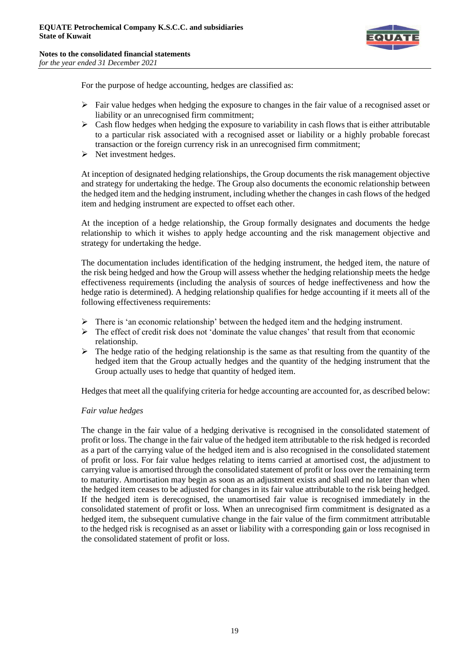

For the purpose of hedge accounting, hedges are classified as:

- $\triangleright$  Fair value hedges when hedging the exposure to changes in the fair value of a recognised asset or liability or an unrecognised firm commitment;
- $\triangleright$  Cash flow hedges when hedging the exposure to variability in cash flows that is either attributable to a particular risk associated with a recognised asset or liability or a highly probable forecast transaction or the foreign currency risk in an unrecognised firm commitment;
- ➢ Net investment hedges.

At inception of designated hedging relationships, the Group documents the risk management objective and strategy for undertaking the hedge. The Group also documents the economic relationship between the hedged item and the hedging instrument, including whether the changes in cash flows of the hedged item and hedging instrument are expected to offset each other.

At the inception of a hedge relationship, the Group formally designates and documents the hedge relationship to which it wishes to apply hedge accounting and the risk management objective and strategy for undertaking the hedge.

The documentation includes identification of the hedging instrument, the hedged item, the nature of the risk being hedged and how the Group will assess whether the hedging relationship meets the hedge effectiveness requirements (including the analysis of sources of hedge ineffectiveness and how the hedge ratio is determined). A hedging relationship qualifies for hedge accounting if it meets all of the following effectiveness requirements:

- ➢ There is 'an economic relationship' between the hedged item and the hedging instrument.
- ➢ The effect of credit risk does not 'dominate the value changes' that result from that economic relationship.
- $\triangleright$  The hedge ratio of the hedging relationship is the same as that resulting from the quantity of the hedged item that the Group actually hedges and the quantity of the hedging instrument that the Group actually uses to hedge that quantity of hedged item.

Hedges that meet all the qualifying criteria for hedge accounting are accounted for, as described below:

## *Fair value hedges*

The change in the fair value of a hedging derivative is recognised in the consolidated statement of profit or loss. The change in the fair value of the hedged item attributable to the risk hedged is recorded as a part of the carrying value of the hedged item and is also recognised in the consolidated statement of profit or loss. For fair value hedges relating to items carried at amortised cost, the adjustment to carrying value is amortised through the consolidated statement of profit or loss over the remaining term to maturity. Amortisation may begin as soon as an adjustment exists and shall end no later than when the hedged item ceases to be adjusted for changes in its fair value attributable to the risk being hedged. If the hedged item is derecognised, the unamortised fair value is recognised immediately in the consolidated statement of profit or loss. When an unrecognised firm commitment is designated as a hedged item, the subsequent cumulative change in the fair value of the firm commitment attributable to the hedged risk is recognised as an asset or liability with a corresponding gain or loss recognised in the consolidated statement of profit or loss.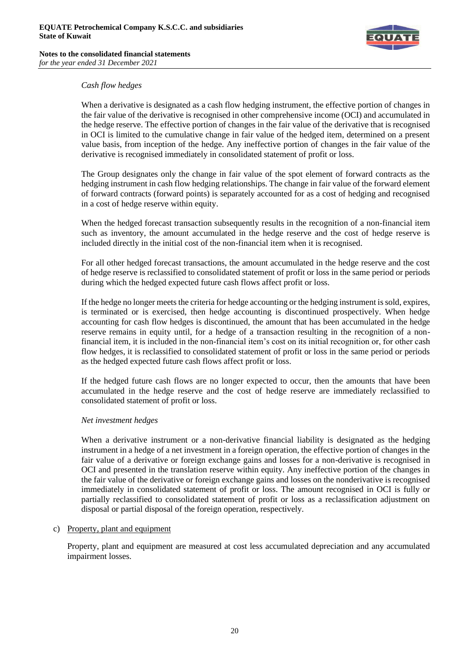

## *Cash flow hedges*

When a derivative is designated as a cash flow hedging instrument, the effective portion of changes in the fair value of the derivative is recognised in other comprehensive income (OCI) and accumulated in the hedge reserve. The effective portion of changes in the fair value of the derivative that is recognised in OCI is limited to the cumulative change in fair value of the hedged item, determined on a present value basis, from inception of the hedge. Any ineffective portion of changes in the fair value of the derivative is recognised immediately in consolidated statement of profit or loss.

The Group designates only the change in fair value of the spot element of forward contracts as the hedging instrument in cash flow hedging relationships. The change in fair value of the forward element of forward contracts (forward points) is separately accounted for as a cost of hedging and recognised in a cost of hedge reserve within equity.

When the hedged forecast transaction subsequently results in the recognition of a non-financial item such as inventory, the amount accumulated in the hedge reserve and the cost of hedge reserve is included directly in the initial cost of the non-financial item when it is recognised.

For all other hedged forecast transactions, the amount accumulated in the hedge reserve and the cost of hedge reserve is reclassified to consolidated statement of profit or loss in the same period or periods during which the hedged expected future cash flows affect profit or loss.

If the hedge no longer meets the criteria for hedge accounting or the hedging instrument is sold, expires, is terminated or is exercised, then hedge accounting is discontinued prospectively. When hedge accounting for cash flow hedges is discontinued, the amount that has been accumulated in the hedge reserve remains in equity until, for a hedge of a transaction resulting in the recognition of a nonfinancial item, it is included in the non-financial item's cost on its initial recognition or, for other cash flow hedges, it is reclassified to consolidated statement of profit or loss in the same period or periods as the hedged expected future cash flows affect profit or loss.

If the hedged future cash flows are no longer expected to occur, then the amounts that have been accumulated in the hedge reserve and the cost of hedge reserve are immediately reclassified to consolidated statement of profit or loss.

## *Net investment hedges*

When a derivative instrument or a non-derivative financial liability is designated as the hedging instrument in a hedge of a net investment in a foreign operation, the effective portion of changes in the fair value of a derivative or foreign exchange gains and losses for a non-derivative is recognised in OCI and presented in the translation reserve within equity. Any ineffective portion of the changes in the fair value of the derivative or foreign exchange gains and losses on the nonderivative is recognised immediately in consolidated statement of profit or loss. The amount recognised in OCI is fully or partially reclassified to consolidated statement of profit or loss as a reclassification adjustment on disposal or partial disposal of the foreign operation, respectively.

## c) Property, plant and equipment

Property, plant and equipment are measured at cost less accumulated depreciation and any accumulated impairment losses.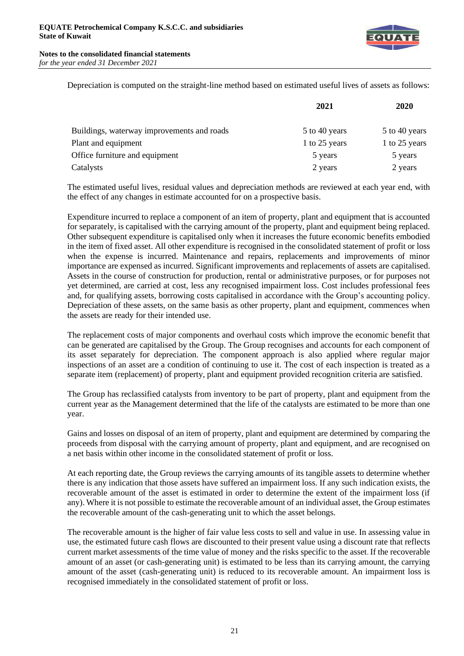

Depreciation is computed on the straight-line method based on estimated useful lives of assets as follows:

|                                            | 2021          | 2020          |
|--------------------------------------------|---------------|---------------|
| Buildings, waterway improvements and roads | 5 to 40 years | 5 to 40 years |
| Plant and equipment                        | 1 to 25 years | 1 to 25 years |
| Office furniture and equipment             | 5 years       | 5 years       |
| Catalysts                                  | 2 years       | 2 years       |

The estimated useful lives, residual values and depreciation methods are reviewed at each year end, with the effect of any changes in estimate accounted for on a prospective basis.

Expenditure incurred to replace a component of an item of property, plant and equipment that is accounted for separately, is capitalised with the carrying amount of the property, plant and equipment being replaced. Other subsequent expenditure is capitalised only when it increases the future economic benefits embodied in the item of fixed asset. All other expenditure is recognised in the consolidated statement of profit or loss when the expense is incurred. Maintenance and repairs, replacements and improvements of minor importance are expensed as incurred. Significant improvements and replacements of assets are capitalised. Assets in the course of construction for production, rental or administrative purposes, or for purposes not yet determined, are carried at cost, less any recognised impairment loss. Cost includes professional fees and, for qualifying assets, borrowing costs capitalised in accordance with the Group's accounting policy. Depreciation of these assets, on the same basis as other property, plant and equipment, commences when the assets are ready for their intended use.

The replacement costs of major components and overhaul costs which improve the economic benefit that can be generated are capitalised by the Group. The Group recognises and accounts for each component of its asset separately for depreciation. The component approach is also applied where regular major inspections of an asset are a condition of continuing to use it. The cost of each inspection is treated as a separate item (replacement) of property, plant and equipment provided recognition criteria are satisfied.

The Group has reclassified catalysts from inventory to be part of property, plant and equipment from the current year as the Management determined that the life of the catalysts are estimated to be more than one year.

Gains and losses on disposal of an item of property, plant and equipment are determined by comparing the proceeds from disposal with the carrying amount of property, plant and equipment, and are recognised on a net basis within other income in the consolidated statement of profit or loss.

At each reporting date, the Group reviews the carrying amounts of its tangible assets to determine whether there is any indication that those assets have suffered an impairment loss. If any such indication exists, the recoverable amount of the asset is estimated in order to determine the extent of the impairment loss (if any). Where it is not possible to estimate the recoverable amount of an individual asset, the Group estimates the recoverable amount of the cash-generating unit to which the asset belongs.

The recoverable amount is the higher of fair value less costs to sell and value in use. In assessing value in use, the estimated future cash flows are discounted to their present value using a discount rate that reflects current market assessments of the time value of money and the risks specific to the asset. If the recoverable amount of an asset (or cash-generating unit) is estimated to be less than its carrying amount, the carrying amount of the asset (cash-generating unit) is reduced to its recoverable amount. An impairment loss is recognised immediately in the consolidated statement of profit or loss.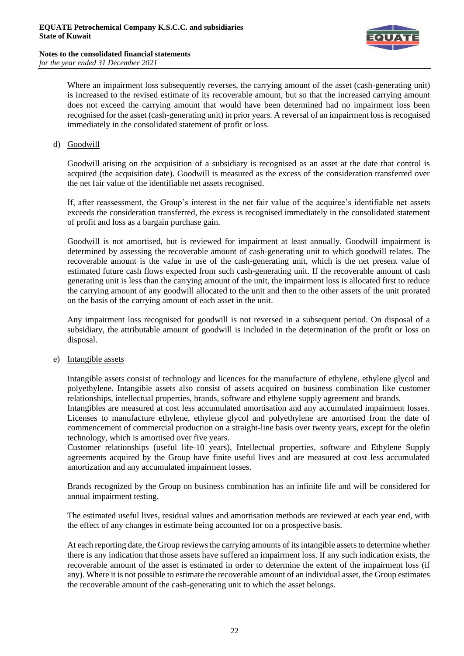

> Where an impairment loss subsequently reverses, the carrying amount of the asset (cash-generating unit) is increased to the revised estimate of its recoverable amount, but so that the increased carrying amount does not exceed the carrying amount that would have been determined had no impairment loss been recognised for the asset (cash-generating unit) in prior years. A reversal of an impairment loss is recognised immediately in the consolidated statement of profit or loss.

d) Goodwill

Goodwill arising on the acquisition of a subsidiary is recognised as an asset at the date that control is acquired (the acquisition date). Goodwill is measured as the excess of the consideration transferred over the net fair value of the identifiable net assets recognised.

If, after reassessment, the Group's interest in the net fair value of the acquiree's identifiable net assets exceeds the consideration transferred, the excess is recognised immediately in the consolidated statement of profit and loss as a bargain purchase gain.

Goodwill is not amortised, but is reviewed for impairment at least annually. Goodwill impairment is determined by assessing the recoverable amount of cash-generating unit to which goodwill relates. The recoverable amount is the value in use of the cash-generating unit, which is the net present value of estimated future cash flows expected from such cash-generating unit. If the recoverable amount of cash generating unit is less than the carrying amount of the unit, the impairment loss is allocated first to reduce the carrying amount of any goodwill allocated to the unit and then to the other assets of the unit prorated on the basis of the carrying amount of each asset in the unit.

Any impairment loss recognised for goodwill is not reversed in a subsequent period. On disposal of a subsidiary, the attributable amount of goodwill is included in the determination of the profit or loss on disposal.

#### e) Intangible assets

Intangible assets consist of technology and licences for the manufacture of ethylene, ethylene glycol and polyethylene. Intangible assets also consist of assets acquired on business combination like customer relationships, intellectual properties, brands, software and ethylene supply agreement and brands.

Intangibles are measured at cost less accumulated amortisation and any accumulated impairment losses. Licenses to manufacture ethylene, ethylene glycol and polyethylene are amortised from the date of commencement of commercial production on a straight-line basis over twenty years, except for the olefin technology, which is amortised over five years.

Customer relationships (useful life-10 years), Intellectual properties, software and Ethylene Supply agreements acquired by the Group have finite useful lives and are measured at cost less accumulated amortization and any accumulated impairment losses.

Brands recognized by the Group on business combination has an infinite life and will be considered for annual impairment testing.

The estimated useful lives, residual values and amortisation methods are reviewed at each year end, with the effect of any changes in estimate being accounted for on a prospective basis.

At each reporting date, the Group reviews the carrying amounts of its intangible assets to determine whether there is any indication that those assets have suffered an impairment loss. If any such indication exists, the recoverable amount of the asset is estimated in order to determine the extent of the impairment loss (if any). Where it is not possible to estimate the recoverable amount of an individual asset, the Group estimates the recoverable amount of the cash-generating unit to which the asset belongs.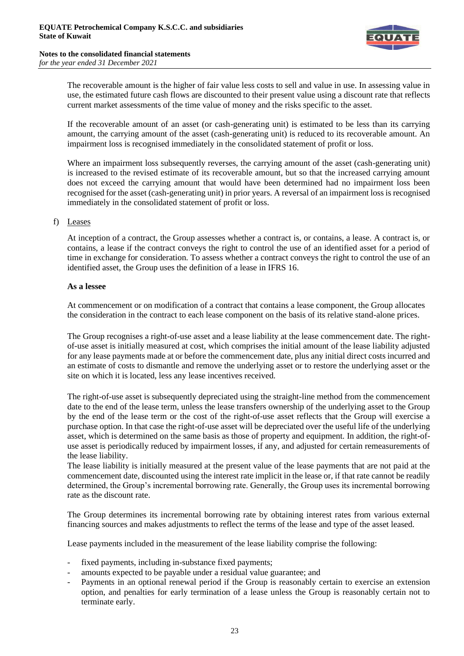

> The recoverable amount is the higher of fair value less costs to sell and value in use. In assessing value in use, the estimated future cash flows are discounted to their present value using a discount rate that reflects current market assessments of the time value of money and the risks specific to the asset.

> If the recoverable amount of an asset (or cash-generating unit) is estimated to be less than its carrying amount, the carrying amount of the asset (cash-generating unit) is reduced to its recoverable amount. An impairment loss is recognised immediately in the consolidated statement of profit or loss.

> Where an impairment loss subsequently reverses, the carrying amount of the asset (cash-generating unit) is increased to the revised estimate of its recoverable amount, but so that the increased carrying amount does not exceed the carrying amount that would have been determined had no impairment loss been recognised for the asset (cash-generating unit) in prior years. A reversal of an impairment loss is recognised immediately in the consolidated statement of profit or loss.

## f) Leases

At inception of a contract, the Group assesses whether a contract is, or contains, a lease. A contract is, or contains, a lease if the contract conveys the right to control the use of an identified asset for a period of time in exchange for consideration. To assess whether a contract conveys the right to control the use of an identified asset, the Group uses the definition of a lease in IFRS 16.

## **As a lessee**

At commencement or on modification of a contract that contains a lease component, the Group allocates the consideration in the contract to each lease component on the basis of its relative stand-alone prices.

The Group recognises a right-of-use asset and a lease liability at the lease commencement date. The rightof-use asset is initially measured at cost, which comprises the initial amount of the lease liability adjusted for any lease payments made at or before the commencement date, plus any initial direct costs incurred and an estimate of costs to dismantle and remove the underlying asset or to restore the underlying asset or the site on which it is located, less any lease incentives received.

The right-of-use asset is subsequently depreciated using the straight-line method from the commencement date to the end of the lease term, unless the lease transfers ownership of the underlying asset to the Group by the end of the lease term or the cost of the right-of-use asset reflects that the Group will exercise a purchase option. In that case the right-of-use asset will be depreciated over the useful life of the underlying asset, which is determined on the same basis as those of property and equipment. In addition, the right-ofuse asset is periodically reduced by impairment losses, if any, and adjusted for certain remeasurements of the lease liability.

The lease liability is initially measured at the present value of the lease payments that are not paid at the commencement date, discounted using the interest rate implicit in the lease or, if that rate cannot be readily determined, the Group's incremental borrowing rate. Generally, the Group uses its incremental borrowing rate as the discount rate.

The Group determines its incremental borrowing rate by obtaining interest rates from various external financing sources and makes adjustments to reflect the terms of the lease and type of the asset leased.

Lease payments included in the measurement of the lease liability comprise the following:

- fixed payments, including in-substance fixed payments;
- amounts expected to be payable under a residual value guarantee; and
- Payments in an optional renewal period if the Group is reasonably certain to exercise an extension option, and penalties for early termination of a lease unless the Group is reasonably certain not to terminate early.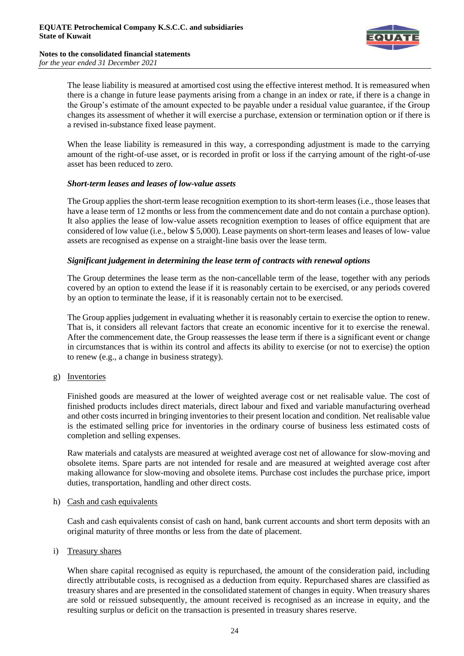

> The lease liability is measured at amortised cost using the effective interest method. It is remeasured when there is a change in future lease payments arising from a change in an index or rate, if there is a change in the Group's estimate of the amount expected to be payable under a residual value guarantee, if the Group changes its assessment of whether it will exercise a purchase, extension or termination option or if there is a revised in-substance fixed lease payment.

> When the lease liability is remeasured in this way, a corresponding adjustment is made to the carrying amount of the right-of-use asset, or is recorded in profit or loss if the carrying amount of the right-of-use asset has been reduced to zero.

## *Short-term leases and leases of low-value assets*

The Group applies the short-term lease recognition exemption to its short-term leases (i.e., those leases that have a lease term of 12 months or less from the commencement date and do not contain a purchase option). It also applies the lease of low-value assets recognition exemption to leases of office equipment that are considered of low value (i.e., below \$ 5,000). Lease payments on short-term leases and leases of low- value assets are recognised as expense on a straight-line basis over the lease term.

## *Significant judgement in determining the lease term of contracts with renewal options*

The Group determines the lease term as the non-cancellable term of the lease, together with any periods covered by an option to extend the lease if it is reasonably certain to be exercised, or any periods covered by an option to terminate the lease, if it is reasonably certain not to be exercised.

The Group applies judgement in evaluating whether it is reasonably certain to exercise the option to renew. That is, it considers all relevant factors that create an economic incentive for it to exercise the renewal. After the commencement date, the Group reassesses the lease term if there is a significant event or change in circumstances that is within its control and affects its ability to exercise (or not to exercise) the option to renew (e.g., a change in business strategy).

## g) Inventories

Finished goods are measured at the lower of weighted average cost or net realisable value. The cost of finished products includes direct materials, direct labour and fixed and variable manufacturing overhead and other costs incurred in bringing inventories to their present location and condition. Net realisable value is the estimated selling price for inventories in the ordinary course of business less estimated costs of completion and selling expenses.

Raw materials and catalysts are measured at weighted average cost net of allowance for slow-moving and obsolete items. Spare parts are not intended for resale and are measured at weighted average cost after making allowance for slow-moving and obsolete items. Purchase cost includes the purchase price, import duties, transportation, handling and other direct costs.

#### h) Cash and cash equivalents

Cash and cash equivalents consist of cash on hand, bank current accounts and short term deposits with an original maturity of three months or less from the date of placement.

## i) Treasury shares

When share capital recognised as equity is repurchased, the amount of the consideration paid, including directly attributable costs, is recognised as a deduction from equity. Repurchased shares are classified as treasury shares and are presented in the consolidated statement of changes in equity. When treasury shares are sold or reissued subsequently, the amount received is recognised as an increase in equity, and the resulting surplus or deficit on the transaction is presented in treasury shares reserve.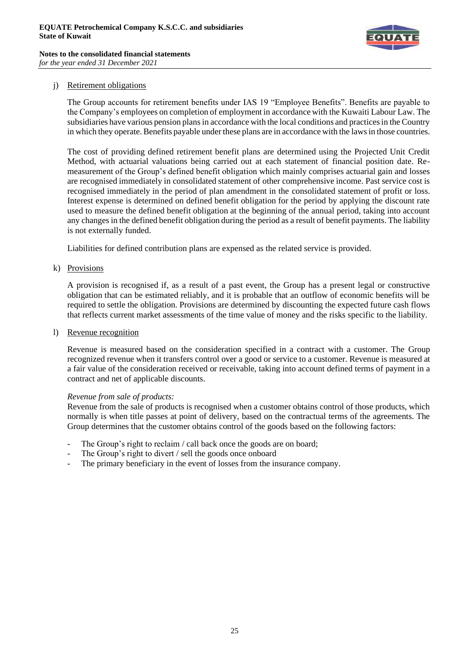

## j) Retirement obligations

The Group accounts for retirement benefits under IAS 19 "Employee Benefits". Benefits are payable to the Company's employees on completion of employment in accordance with the Kuwaiti Labour Law. The subsidiaries have various pension plans in accordance with the local conditions and practices in the Country in which they operate. Benefits payable under these plans are in accordance with the laws in those countries.

The cost of providing defined retirement benefit plans are determined using the Projected Unit Credit Method, with actuarial valuations being carried out at each statement of financial position date. Remeasurement of the Group's defined benefit obligation which mainly comprises actuarial gain and losses are recognised immediately in consolidated statement of other comprehensive income. Past service cost is recognised immediately in the period of plan amendment in the consolidated statement of profit or loss. Interest expense is determined on defined benefit obligation for the period by applying the discount rate used to measure the defined benefit obligation at the beginning of the annual period, taking into account any changes in the defined benefit obligation during the period as a result of benefit payments. The liability is not externally funded.

Liabilities for defined contribution plans are expensed as the related service is provided.

k) Provisions

A provision is recognised if, as a result of a past event, the Group has a present legal or constructive obligation that can be estimated reliably, and it is probable that an outflow of economic benefits will be required to settle the obligation. Provisions are determined by discounting the expected future cash flows that reflects current market assessments of the time value of money and the risks specific to the liability.

## l) Revenue recognition

Revenue is measured based on the consideration specified in a contract with a customer. The Group recognized revenue when it transfers control over a good or service to a customer. Revenue is measured at a fair value of the consideration received or receivable, taking into account defined terms of payment in a contract and net of applicable discounts.

## *Revenue from sale of products:*

Revenue from the sale of products is recognised when a customer obtains control of those products, which normally is when title passes at point of delivery, based on the contractual terms of the agreements. The Group determines that the customer obtains control of the goods based on the following factors:

- The Group's right to reclaim / call back once the goods are on board;
- The Group's right to divert / sell the goods once onboard
- The primary beneficiary in the event of losses from the insurance company.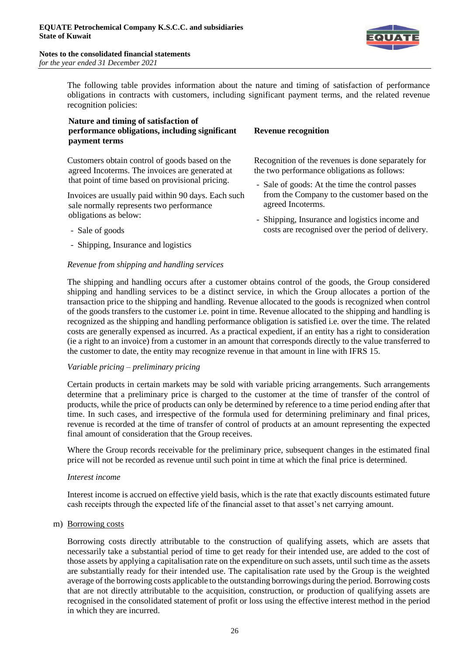

> The following table provides information about the nature and timing of satisfaction of performance obligations in contracts with customers, including significant payment terms, and the related revenue recognition policies:

## **Nature and timing of satisfaction of performance obligations, including significant payment terms**

Customers obtain control of goods based on the agreed Incoterms. The invoices are generated at that point of time based on provisional pricing.

Invoices are usually paid within 90 days. Each such sale normally represents two performance obligations as below:

- Sale of goods
- Shipping, Insurance and logistics

## *Revenue from shipping and handling services*

#### **Revenue recognition**

Recognition of the revenues is done separately for the two performance obligations as follows:

- Sale of goods: At the time the control passes from the Company to the customer based on the agreed Incoterms.
- Shipping, Insurance and logistics income and costs are recognised over the period of delivery.

The shipping and handling occurs after a customer obtains control of the goods, the Group considered shipping and handling services to be a distinct service, in which the Group allocates a portion of the transaction price to the shipping and handling. Revenue allocated to the goods is recognized when control of the goods transfers to the customer i.e. point in time. Revenue allocated to the shipping and handling is recognized as the shipping and handling performance obligation is satisfied i.e. over the time. The related costs are generally expensed as incurred. As a practical expedient, if an entity has a right to consideration (ie a right to an invoice) from a customer in an amount that corresponds directly to the value transferred to the customer to date, the entity may recognize revenue in that amount in line with IFRS 15.

## *Variable pricing – preliminary pricing*

Certain products in certain markets may be sold with variable pricing arrangements. Such arrangements determine that a preliminary price is charged to the customer at the time of transfer of the control of products, while the price of products can only be determined by reference to a time period ending after that time. In such cases, and irrespective of the formula used for determining preliminary and final prices, revenue is recorded at the time of transfer of control of products at an amount representing the expected final amount of consideration that the Group receives.

Where the Group records receivable for the preliminary price, subsequent changes in the estimated final price will not be recorded as revenue until such point in time at which the final price is determined.

## *Interest income*

Interest income is accrued on effective yield basis, which is the rate that exactly discounts estimated future cash receipts through the expected life of the financial asset to that asset's net carrying amount.

#### m) Borrowing costs

Borrowing costs directly attributable to the construction of qualifying assets, which are assets that necessarily take a substantial period of time to get ready for their intended use, are added to the cost of those assets by applying a capitalisation rate on the expenditure on such assets, until such time as the assets are substantially ready for their intended use. The capitalisation rate used by the Group is the weighted average of the borrowing costs applicable to the outstanding borrowings during the period. Borrowing costs that are not directly attributable to the acquisition, construction, or production of qualifying assets are recognised in the consolidated statement of profit or loss using the effective interest method in the period in which they are incurred.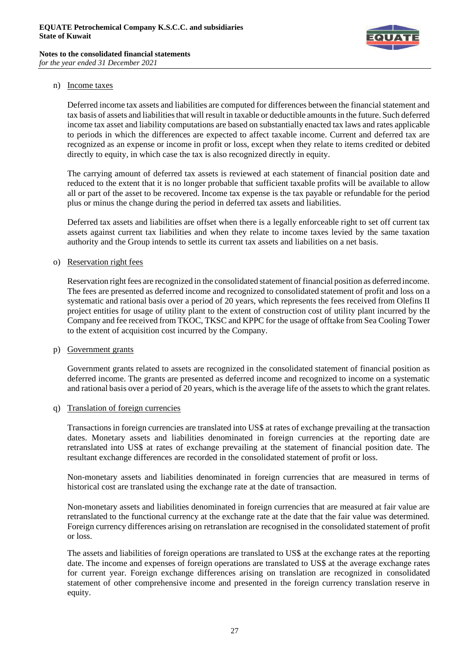

## n) Income taxes

Deferred income tax assets and liabilities are computed for differences between the financial statement and tax basis of assets and liabilities that will result in taxable or deductible amounts in the future. Such deferred income tax asset and liability computations are based on substantially enacted tax laws and rates applicable to periods in which the differences are expected to affect taxable income. Current and deferred tax are recognized as an expense or income in profit or loss, except when they relate to items credited or debited directly to equity, in which case the tax is also recognized directly in equity.

The carrying amount of deferred tax assets is reviewed at each statement of financial position date and reduced to the extent that it is no longer probable that sufficient taxable profits will be available to allow all or part of the asset to be recovered. Income tax expense is the tax payable or refundable for the period plus or minus the change during the period in deferred tax assets and liabilities.

Deferred tax assets and liabilities are offset when there is a legally enforceable right to set off current tax assets against current tax liabilities and when they relate to income taxes levied by the same taxation authority and the Group intends to settle its current tax assets and liabilities on a net basis.

## o) Reservation right fees

Reservation right fees are recognized in the consolidated statement of financial position as deferred income. The fees are presented as deferred income and recognized to consolidated statement of profit and loss on a systematic and rational basis over a period of 20 years, which represents the fees received from Olefins II project entities for usage of utility plant to the extent of construction cost of utility plant incurred by the Company and fee received from TKOC, TKSC and KPPC for the usage of offtake from Sea Cooling Tower to the extent of acquisition cost incurred by the Company.

## p) Government grants

Government grants related to assets are recognized in the consolidated statement of financial position as deferred income. The grants are presented as deferred income and recognized to income on a systematic and rational basis over a period of 20 years, which is the average life of the assets to which the grant relates.

## q) Translation of foreign currencies

Transactions in foreign currencies are translated into US\$ at rates of exchange prevailing at the transaction dates. Monetary assets and liabilities denominated in foreign currencies at the reporting date are retranslated into US\$ at rates of exchange prevailing at the statement of financial position date. The resultant exchange differences are recorded in the consolidated statement of profit or loss.

Non-monetary assets and liabilities denominated in foreign currencies that are measured in terms of historical cost are translated using the exchange rate at the date of transaction.

Non-monetary assets and liabilities denominated in foreign currencies that are measured at fair value are retranslated to the functional currency at the exchange rate at the date that the fair value was determined. Foreign currency differences arising on retranslation are recognised in the consolidated statement of profit or loss.

The assets and liabilities of foreign operations are translated to US\$ at the exchange rates at the reporting date. The income and expenses of foreign operations are translated to US\$ at the average exchange rates for current year. Foreign exchange differences arising on translation are recognized in consolidated statement of other comprehensive income and presented in the foreign currency translation reserve in equity.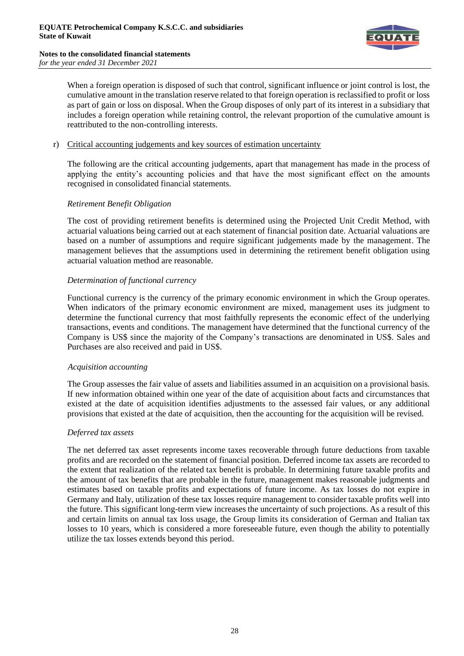

> When a foreign operation is disposed of such that control, significant influence or joint control is lost, the cumulative amount in the translation reserve related to that foreign operation is reclassified to profit or loss as part of gain or loss on disposal. When the Group disposes of only part of its interest in a subsidiary that includes a foreign operation while retaining control, the relevant proportion of the cumulative amount is reattributed to the non-controlling interests.

## r) Critical accounting judgements and key sources of estimation uncertainty

The following are the critical accounting judgements, apart that management has made in the process of applying the entity's accounting policies and that have the most significant effect on the amounts recognised in consolidated financial statements.

#### *Retirement Benefit Obligation*

The cost of providing retirement benefits is determined using the Projected Unit Credit Method, with actuarial valuations being carried out at each statement of financial position date. Actuarial valuations are based on a number of assumptions and require significant judgements made by the management. The management believes that the assumptions used in determining the retirement benefit obligation using actuarial valuation method are reasonable.

## *Determination of functional currency*

Functional currency is the currency of the primary economic environment in which the Group operates. When indicators of the primary economic environment are mixed, management uses its judgment to determine the functional currency that most faithfully represents the economic effect of the underlying transactions, events and conditions. The management have determined that the functional currency of the Company is US\$ since the majority of the Company's transactions are denominated in US\$. Sales and Purchases are also received and paid in US\$.

#### *Acquisition accounting*

The Group assesses the fair value of assets and liabilities assumed in an acquisition on a provisional basis. If new information obtained within one year of the date of acquisition about facts and circumstances that existed at the date of acquisition identifies adjustments to the assessed fair values, or any additional provisions that existed at the date of acquisition, then the accounting for the acquisition will be revised.

## *Deferred tax assets*

The net deferred tax asset represents income taxes recoverable through future deductions from taxable profits and are recorded on the statement of financial position. Deferred income tax assets are recorded to the extent that realization of the related tax benefit is probable. In determining future taxable profits and the amount of tax benefits that are probable in the future, management makes reasonable judgments and estimates based on taxable profits and expectations of future income. As tax losses do not expire in Germany and Italy, utilization of these tax losses require management to consider taxable profits well into the future. This significant long-term view increases the uncertainty of such projections. As a result of this and certain limits on annual tax loss usage, the Group limits its consideration of German and Italian tax losses to 10 years, which is considered a more foreseeable future, even though the ability to potentially utilize the tax losses extends beyond this period.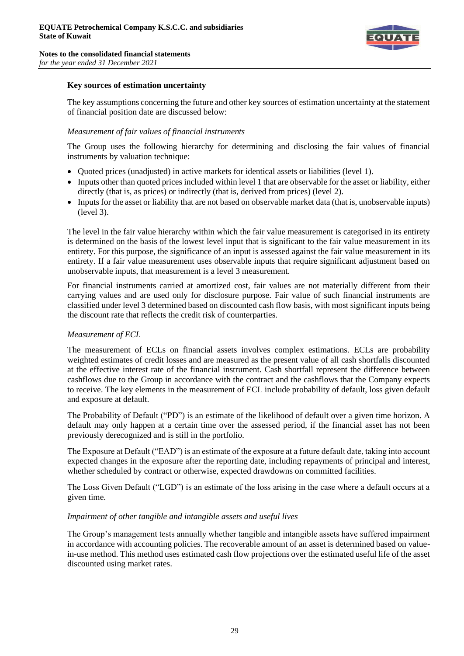

## **Key sources of estimation uncertainty**

The key assumptions concerning the future and other key sources of estimation uncertainty at the statement of financial position date are discussed below:

## *Measurement of fair values of financial instruments*

The Group uses the following hierarchy for determining and disclosing the fair values of financial instruments by valuation technique:

- Quoted prices (unadjusted) in active markets for identical assets or liabilities (level 1).
- Inputs other than quoted prices included within level 1 that are observable for the asset or liability, either directly (that is, as prices) or indirectly (that is, derived from prices) (level 2).
- Inputs for the asset or liability that are not based on observable market data (that is, unobservable inputs) (level 3).

The level in the fair value hierarchy within which the fair value measurement is categorised in its entirety is determined on the basis of the lowest level input that is significant to the fair value measurement in its entirety. For this purpose, the significance of an input is assessed against the fair value measurement in its entirety. If a fair value measurement uses observable inputs that require significant adjustment based on unobservable inputs, that measurement is a level 3 measurement.

For financial instruments carried at amortized cost, fair values are not materially different from their carrying values and are used only for disclosure purpose. Fair value of such financial instruments are classified under level 3 determined based on discounted cash flow basis, with most significant inputs being the discount rate that reflects the credit risk of counterparties.

## *Measurement of ECL*

The measurement of ECLs on financial assets involves complex estimations. ECLs are probability weighted estimates of credit losses and are measured as the present value of all cash shortfalls discounted at the effective interest rate of the financial instrument. Cash shortfall represent the difference between cashflows due to the Group in accordance with the contract and the cashflows that the Company expects to receive. The key elements in the measurement of ECL include probability of default, loss given default and exposure at default.

The Probability of Default ("PD") is an estimate of the likelihood of default over a given time horizon. A default may only happen at a certain time over the assessed period, if the financial asset has not been previously derecognized and is still in the portfolio.

The Exposure at Default ("EAD") is an estimate of the exposure at a future default date, taking into account expected changes in the exposure after the reporting date, including repayments of principal and interest, whether scheduled by contract or otherwise, expected drawdowns on committed facilities.

The Loss Given Default ("LGD") is an estimate of the loss arising in the case where a default occurs at a given time.

## *Impairment of other tangible and intangible assets and useful lives*

The Group's management tests annually whether tangible and intangible assets have suffered impairment in accordance with accounting policies. The recoverable amount of an asset is determined based on valuein-use method. This method uses estimated cash flow projections over the estimated useful life of the asset discounted using market rates.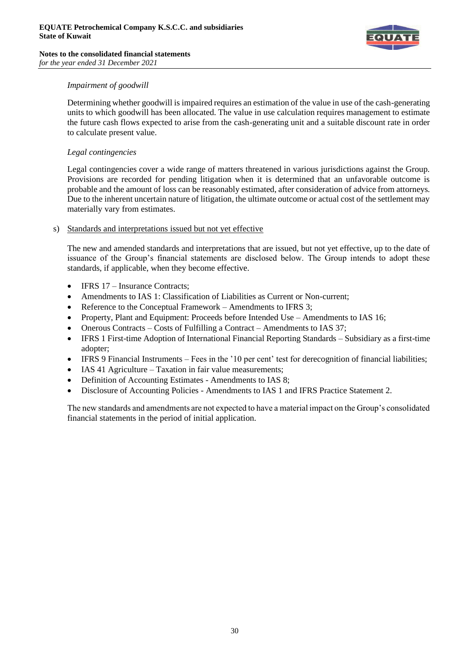

## *Impairment of goodwill*

Determining whether goodwill is impaired requires an estimation of the value in use of the cash-generating units to which goodwill has been allocated. The value in use calculation requires management to estimate the future cash flows expected to arise from the cash-generating unit and a suitable discount rate in order to calculate present value.

## *Legal contingencies*

Legal contingencies cover a wide range of matters threatened in various jurisdictions against the Group. Provisions are recorded for pending litigation when it is determined that an unfavorable outcome is probable and the amount of loss can be reasonably estimated, after consideration of advice from attorneys. Due to the inherent uncertain nature of litigation, the ultimate outcome or actual cost of the settlement may materially vary from estimates.

## s) Standards and interpretations issued but not yet effective

The new and amended standards and interpretations that are issued, but not yet effective, up to the date of issuance of the Group's financial statements are disclosed below. The Group intends to adopt these standards, if applicable, when they become effective.

- IFRS 17 Insurance Contracts:
- Amendments to IAS 1: Classification of Liabilities as Current or Non-current;
- Reference to the Conceptual Framework Amendments to IFRS 3;
- Property, Plant and Equipment: Proceeds before Intended Use Amendments to IAS 16;
- Onerous Contracts Costs of Fulfilling a Contract Amendments to IAS 37;
- IFRS 1 First-time Adoption of International Financial Reporting Standards Subsidiary as a first-time adopter;
- IFRS 9 Financial Instruments Fees in the '10 per cent' test for derecognition of financial liabilities;
- IAS 41 Agriculture Taxation in fair value measurements;
- Definition of Accounting Estimates Amendments to IAS 8;
- Disclosure of Accounting Policies Amendments to IAS 1 and IFRS Practice Statement 2.

The new standards and amendments are not expected to have a material impact on the Group's consolidated financial statements in the period of initial application.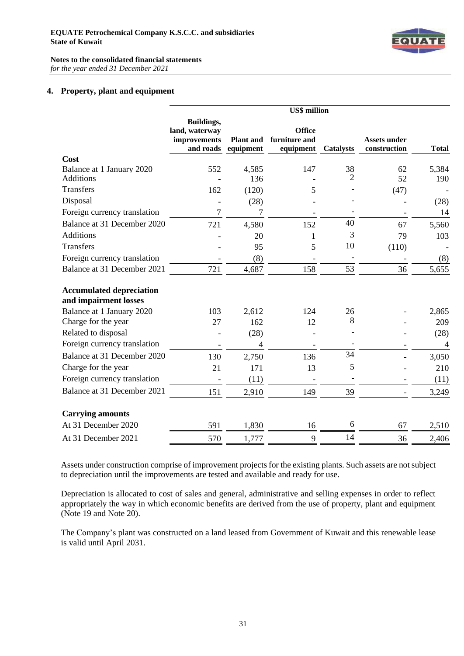

## **Notes to the consolidated financial statements**

*for the year ended 31 December 2021*

## **4. Property, plant and equipment**

|                                                          | <b>US\$</b> million                                 |                  |                                |                  |                     |              |
|----------------------------------------------------------|-----------------------------------------------------|------------------|--------------------------------|------------------|---------------------|--------------|
|                                                          | <b>Buildings,</b><br>land, waterway<br>improvements | <b>Plant</b> and | <b>Office</b><br>furniture and |                  | <b>Assets under</b> |              |
| Cost                                                     | and roads                                           | equipment        | equipment                      | <b>Catalysts</b> | construction        | <b>Total</b> |
| Balance at 1 January 2020                                | 552                                                 | 4,585            | 147                            | 38               | 62                  | 5,384        |
| <b>Additions</b>                                         |                                                     | 136              |                                | $\overline{2}$   | 52                  | 190          |
| <b>Transfers</b>                                         | 162                                                 | (120)            | 5                              |                  | (47)                |              |
| Disposal                                                 |                                                     | (28)             |                                |                  |                     | (28)         |
| Foreign currency translation                             | $\overline{7}$                                      | $\overline{7}$   |                                |                  |                     | 14           |
| Balance at 31 December 2020                              | 721                                                 | 4,580            | 152                            | 40               | 67                  | 5,560        |
| <b>Additions</b>                                         |                                                     | 20               | 1                              | 3                | 79                  | 103          |
| <b>Transfers</b>                                         |                                                     | 95               | 5                              | 10               | (110)               |              |
| Foreign currency translation                             |                                                     | (8)              |                                |                  |                     | (8)          |
| Balance at 31 December 2021                              | 721                                                 | 4,687            | 158                            | 53               | 36                  | 5,655        |
| <b>Accumulated depreciation</b><br>and impairment losses |                                                     |                  |                                |                  |                     |              |
| Balance at 1 January 2020                                | 103                                                 | 2,612            | 124                            | 26               |                     | 2,865        |
| Charge for the year                                      | 27                                                  | 162              | 12                             | 8                |                     | 209          |
| Related to disposal                                      |                                                     | (28)             |                                |                  |                     | (28)         |
| Foreign currency translation                             |                                                     | 4                |                                |                  |                     | 4            |
| Balance at 31 December 2020                              | 130                                                 | 2,750            | 136                            | 34               |                     | 3,050        |
| Charge for the year                                      | 21                                                  | 171              | 13                             | 5                |                     | 210          |
| Foreign currency translation                             |                                                     | (11)             |                                |                  |                     | (11)         |
| Balance at 31 December 2021                              | 151                                                 | 2,910            | 149                            | 39               |                     | 3,249        |
| <b>Carrying amounts</b>                                  |                                                     |                  |                                |                  |                     |              |
| At 31 December 2020                                      | 591                                                 | 1,830            | 16                             | 6                | 67                  | 2,510        |
| At 31 December 2021                                      | 570                                                 | 1,777            | 9                              | 14               | 36                  | 2,406        |

Assets under construction comprise of improvement projects for the existing plants. Such assets are not subject to depreciation until the improvements are tested and available and ready for use.

Depreciation is allocated to cost of sales and general, administrative and selling expenses in order to reflect appropriately the way in which economic benefits are derived from the use of property, plant and equipment (Note 19 and Note 20).

The Company's plant was constructed on a land leased from Government of Kuwait and this renewable lease is valid until April 2031.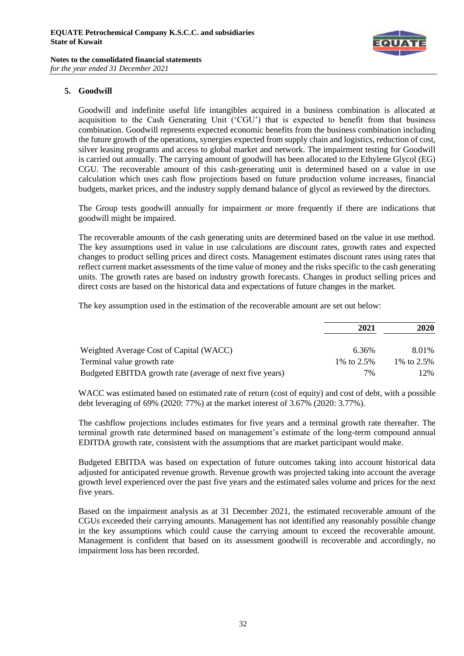

## **5. Goodwill**

Goodwill and indefinite useful life intangibles acquired in a business combination is allocated at acquisition to the Cash Generating Unit ('CGU') that is expected to benefit from that business combination. Goodwill represents expected economic benefits from the business combination including the future growth of the operations, synergies expected from supply chain and logistics, reduction of cost, silver leasing programs and access to global market and network. The impairment testing for Goodwill is carried out annually. The carrying amount of goodwill has been allocated to the Ethylene Glycol (EG) CGU. The recoverable amount of this cash-generating unit is determined based on a value in use calculation which uses cash flow projections based on future production volume increases, financial budgets, market prices, and the industry supply demand balance of glycol as reviewed by the directors.

The Group tests goodwill annually for impairment or more frequently if there are indications that goodwill might be impaired.

The recoverable amounts of the cash generating units are determined based on the value in use method. The key assumptions used in value in use calculations are discount rates, growth rates and expected changes to product selling prices and direct costs. Management estimates discount rates using rates that reflect current market assessments of the time value of money and the risks specific to the cash generating units. The growth rates are based on industry growth forecasts. Changes in product selling prices and direct costs are based on the historical data and expectations of future changes in the market.

The key assumption used in the estimation of the recoverable amount are set out below:

|                                                          | 2021         | 2020         |
|----------------------------------------------------------|--------------|--------------|
| Weighted Average Cost of Capital (WACC)                  | 6.36%        | 8.01%        |
| Terminal value growth rate                               | 1\% to 2.5\% | 1\% to 2.5\% |
| Budgeted EBITDA growth rate (average of next five years) | 7%           | 12%          |

WACC was estimated based on estimated rate of return (cost of equity) and cost of debt, with a possible debt leveraging of 69% (2020: 77%) at the market interest of 3.67% (2020: 3.77%).

The cashflow projections includes estimates for five years and a terminal growth rate thereafter. The terminal growth rate determined based on management's estimate of the long-term compound annual EDITDA growth rate, consistent with the assumptions that are market participant would make.

Budgeted EBITDA was based on expectation of future outcomes taking into account historical data adjusted for anticipated revenue growth. Revenue growth was projected taking into account the average growth level experienced over the past five years and the estimated sales volume and prices for the next five years.

Based on the impairment analysis as at 31 December 2021, the estimated recoverable amount of the CGUs exceeded their carrying amounts. Management has not identified any reasonably possible change in the key assumptions which could cause the carrying amount to exceed the recoverable amount. Management is confident that based on its assessment goodwill is recoverable and accordingly, no impairment loss has been recorded.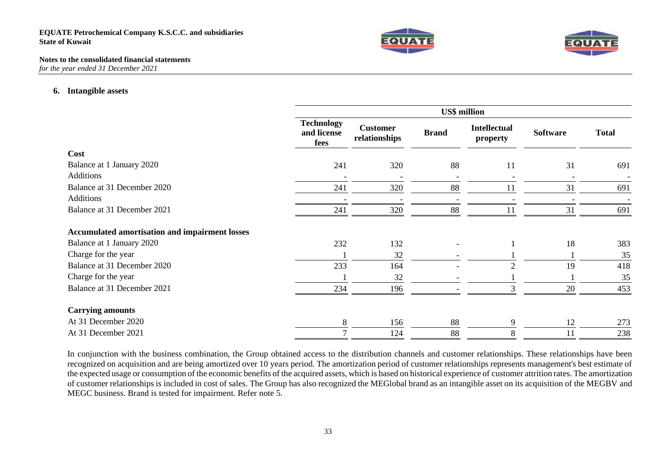



## **6. Intangible assets**

|                                                       | <b>US\$ million</b>                      |                                  |              |                                 |                 |              |  |
|-------------------------------------------------------|------------------------------------------|----------------------------------|--------------|---------------------------------|-----------------|--------------|--|
|                                                       | <b>Technology</b><br>and license<br>fees | <b>Customer</b><br>relationships | <b>Brand</b> | <b>Intellectual</b><br>property | <b>Software</b> | <b>Total</b> |  |
| Cost                                                  |                                          |                                  |              |                                 |                 |              |  |
| Balance at 1 January 2020                             | 241                                      | 320                              | 88           | 11                              | 31              | 691          |  |
| <b>Additions</b>                                      |                                          |                                  |              |                                 |                 |              |  |
| Balance at 31 December 2020                           | 241                                      | 320                              | 88           | 11                              | 31              | 691          |  |
| <b>Additions</b>                                      |                                          |                                  |              |                                 |                 |              |  |
| Balance at 31 December 2021                           | 241                                      | 320                              | 88           | 11                              | 31              | 691          |  |
| <b>Accumulated amortisation and impairment losses</b> |                                          |                                  |              |                                 |                 |              |  |
| Balance at 1 January 2020                             | 232                                      | 132                              |              |                                 | 18              | 383          |  |
| Charge for the year                                   |                                          | 32                               |              |                                 |                 | 35           |  |
| Balance at 31 December 2020                           | 233                                      | 164                              |              | $\overline{2}$                  | 19              | 418          |  |
| Charge for the year                                   |                                          | 32                               |              |                                 |                 | 35           |  |
| Balance at 31 December 2021                           | 234                                      | 196                              |              | 3                               | 20              | 453          |  |
| <b>Carrying amounts</b>                               |                                          |                                  |              |                                 |                 |              |  |
| At 31 December 2020                                   | 8                                        | 156                              | 88           | 9                               | 12              | 273          |  |
| At 31 December 2021                                   |                                          | 124                              | 88           |                                 | 11              | 238          |  |
|                                                       |                                          |                                  |              |                                 |                 |              |  |

In conjunction with the business combination, the Group obtained access to the distribution channels and customer relationships. These relationships have been recognized on acquisition and are being amortized over  $10$  years period. The amortization period of customer relationships represents management's best estimate of the expected usage or consumption of the economic benefits of the acquired assets, which is based on historical experience of customer attrition rates. The amortization of customer relationships is included in cost of sales. The Group has also recognized the MEGlobal brand as an intangible asset on its acquisition of the MEGBV and MEGC business. Brand is tested for impairment. Refer note 5.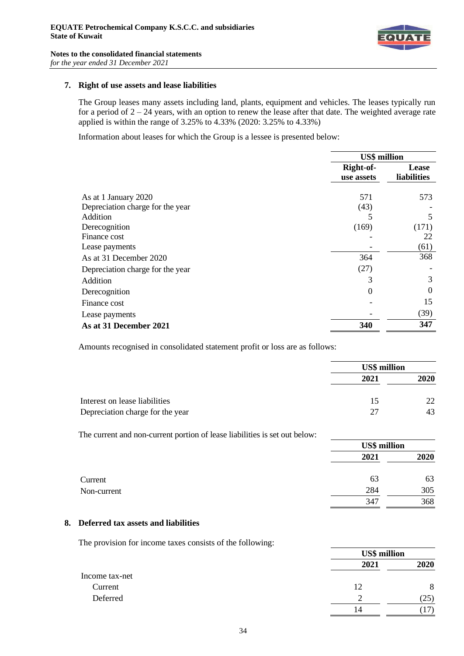

## **7. Right of use assets and lease liabilities**

The Group leases many assets including land, plants, equipment and vehicles. The leases typically run for a period of  $2 - 24$  years, with an option to renew the lease after that date. The weighted average rate applied is within the range of 3.25% to 4.33% (2020: 3.25% to 4.33%)

Information about leases for which the Group is a lessee is presented below:

|                                  | <b>US\$</b> million     |                                    |  |
|----------------------------------|-------------------------|------------------------------------|--|
|                                  | Right-of-<br>use assets | <b>Lease</b><br><b>liabilities</b> |  |
| As at 1 January 2020             | 571                     | 573                                |  |
| Depreciation charge for the year | (43)                    |                                    |  |
| Addition                         |                         | 5                                  |  |
| Derecognition                    | (169)                   | (171)                              |  |
| Finance cost                     |                         | 22                                 |  |
| Lease payments                   |                         | (61)                               |  |
| As at 31 December 2020           | 364                     | 368                                |  |
| Depreciation charge for the year | (27)                    |                                    |  |
| Addition                         | 3                       | 3                                  |  |
| Derecognition                    | $\Omega$                | $\Omega$                           |  |
| Finance cost                     |                         | 15                                 |  |
| Lease payments                   |                         | (39)                               |  |
| As at 31 December 2021           | 340                     | 347                                |  |

Amounts recognised in consolidated statement profit or loss are as follows:

|                                  |      | <b>US\$</b> million |  |
|----------------------------------|------|---------------------|--|
|                                  | 2021 | <b>2020</b>         |  |
| Interest on lease liabilities    | 15   | 22                  |  |
| Depreciation charge for the year | 27   | 43                  |  |

The current and non-current portion of lease liabilities is set out below:

|             |      | <b>US\$</b> million |  |
|-------------|------|---------------------|--|
|             | 2021 | 2020                |  |
| Current     | 63   | 63                  |  |
| Non-current | 284  | 305                 |  |
|             | 347  | 368                 |  |

## **8. Deferred tax assets and liabilities**

The provision for income taxes consists of the following:

|                | <b>US\$</b> million |      |
|----------------|---------------------|------|
|                | 2021                | 2020 |
| Income tax-net |                     |      |
| Current        | 12                  | 8    |
| Deferred       |                     | (25) |
|                | 14                  |      |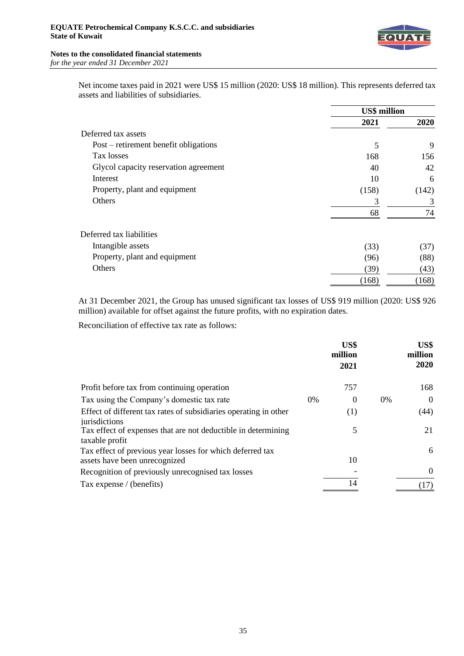

Net income taxes paid in 2021 were US\$ 15 million (2020: US\$ 18 million). This represents deferred tax assets and liabilities of subsidiaries.

|                                       | <b>US\$</b> million |       |
|---------------------------------------|---------------------|-------|
|                                       | 2021                | 2020  |
| Deferred tax assets                   |                     |       |
| Post – retirement benefit obligations | 5                   | 9     |
| Tax losses                            | 168                 | 156   |
| Glycol capacity reservation agreement | 40                  | 42    |
| Interest                              | 10                  | 6     |
| Property, plant and equipment         | (158)               | (142) |
| Others                                | 3                   | 3     |
|                                       | 68                  | 74    |
| Deferred tax liabilities              |                     |       |
| Intangible assets                     | (33)                | (37)  |
| Property, plant and equipment         | (96)                | (88)  |
| Others                                | (39)                | (43)  |
|                                       | (168)               | (168) |

At 31 December 2021, the Group has unused significant tax losses of US\$ 919 million (2020: US\$ 926 million) available for offset against the future profits, with no expiration dates.

Reconciliation of effective tax rate as follows:

|                                                                                   |       | US\$<br>million<br>2021 |       | US\$<br>million<br><b>2020</b> |
|-----------------------------------------------------------------------------------|-------|-------------------------|-------|--------------------------------|
| Profit before tax from continuing operation                                       |       | 757                     |       | 168                            |
| Tax using the Company's domestic tax rate                                         | $0\%$ | $\theta$                | $0\%$ | $\Omega$                       |
| Effect of different tax rates of subsidiaries operating in other<br>jurisdictions |       | (1)                     |       | (44)                           |
| Tax effect of expenses that are not deductible in determining<br>taxable profit   |       | 5                       |       | 21                             |
| Tax effect of previous year losses for which deferred tax                         |       |                         |       | 6                              |
| assets have been unrecognized                                                     |       | 10                      |       |                                |
| Recognition of previously unrecognised tax losses                                 |       |                         |       | $\theta$                       |
| Tax expense / (benefits)                                                          |       | 14                      |       | (17)                           |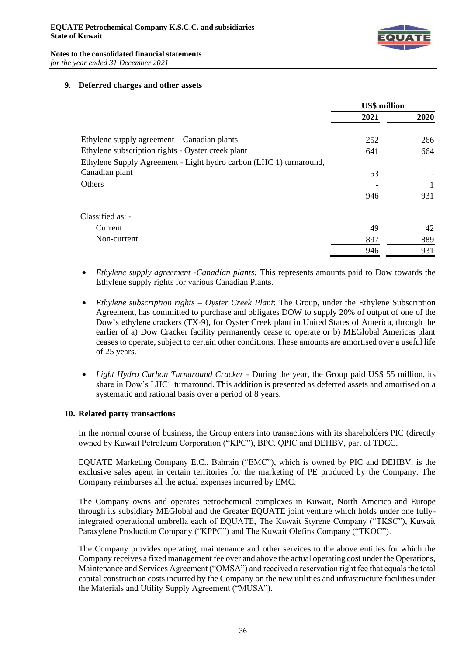

## **9. Deferred charges and other assets**

|                                                                    | <b>US\$</b> million |      |
|--------------------------------------------------------------------|---------------------|------|
|                                                                    | 2021                | 2020 |
| Ethylene supply agreement – Canadian plants                        | 252                 | 266  |
| Ethylene subscription rights - Oyster creek plant                  | 641                 | 664  |
| Ethylene Supply Agreement - Light hydro carbon (LHC 1) turnaround, |                     |      |
| Canadian plant                                                     | 53                  |      |
| Others                                                             |                     |      |
|                                                                    | 946                 | 931  |
| Classified as: -                                                   |                     |      |
| Current                                                            | 49                  | 42   |
| Non-current                                                        | 897                 | 889  |
|                                                                    | 946                 | 931  |
|                                                                    |                     |      |

- *Ethylene supply agreement -Canadian plants:* This represents amounts paid to Dow towards the Ethylene supply rights for various Canadian Plants.
- *Ethylene subscription rights – Oyster Creek Plant*: The Group, under the Ethylene Subscription Agreement, has committed to purchase and obligates DOW to supply 20% of output of one of the Dow's ethylene crackers (TX-9), for Oyster Creek plant in United States of America, through the earlier of a) Dow Cracker facility permanently cease to operate or b) MEGlobal Americas plant ceases to operate, subject to certain other conditions. These amounts are amortised over a useful life of 25 years.
- *Light Hydro Carbon Turnaround Cracker -* During the year, the Group paid US\$ 55 million, its share in Dow's LHC1 turnaround. This addition is presented as deferred assets and amortised on a systematic and rational basis over a period of 8 years.

## **10. Related party transactions**

In the normal course of business, the Group enters into transactions with its shareholders PIC (directly owned by Kuwait Petroleum Corporation ("KPC"), BPC, QPIC and DEHBV, part of TDCC.

EQUATE Marketing Company E.C., Bahrain ("EMC"), which is owned by PIC and DEHBV, is the exclusive sales agent in certain territories for the marketing of PE produced by the Company. The Company reimburses all the actual expenses incurred by EMC.

The Company owns and operates petrochemical complexes in Kuwait, North America and Europe through its subsidiary MEGlobal and the Greater EQUATE joint venture which holds under one fullyintegrated operational umbrella each of EQUATE, The Kuwait Styrene Company ("TKSC"), Kuwait Paraxylene Production Company ("KPPC") and The Kuwait Olefins Company ("TKOC").

The Company provides operating, maintenance and other services to the above entities for which the Company receives a fixed management fee over and above the actual operating cost under the Operations, Maintenance and Services Agreement ("OMSA") and received a reservation right fee that equals the total capital construction costs incurred by the Company on the new utilities and infrastructure facilities under the Materials and Utility Supply Agreement ("MUSA").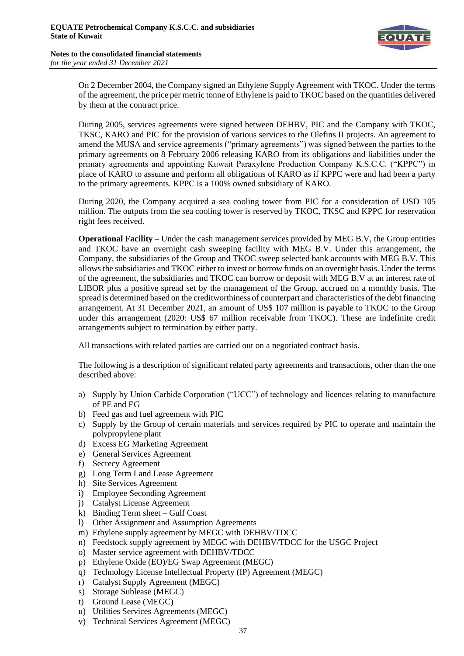

> On 2 December 2004, the Company signed an Ethylene Supply Agreement with TKOC. Under the terms of the agreement, the price per metric tonne of Ethylene is paid to TKOC based on the quantities delivered by them at the contract price.

> During 2005, services agreements were signed between DEHBV, PIC and the Company with TKOC, TKSC, KARO and PIC for the provision of various services to the Olefins II projects. An agreement to amend the MUSA and service agreements ("primary agreements") was signed between the parties to the primary agreements on 8 February 2006 releasing KARO from its obligations and liabilities under the primary agreements and appointing Kuwait Paraxylene Production Company K.S.C.C. ("KPPC") in place of KARO to assume and perform all obligations of KARO as if KPPC were and had been a party to the primary agreements. KPPC is a 100% owned subsidiary of KARO.

> During 2020, the Company acquired a sea cooling tower from PIC for a consideration of USD 105 million. The outputs from the sea cooling tower is reserved by TKOC, TKSC and KPPC for reservation right fees received.

> **Operational Facility** – Under the cash management services provided by MEG B.V, the Group entities and TKOC have an overnight cash sweeping facility with MEG B.V. Under this arrangement, the Company, the subsidiaries of the Group and TKOC sweep selected bank accounts with MEG B.V. This allows the subsidiaries and TKOC either to invest or borrow funds on an overnight basis. Under the terms of the agreement, the subsidiaries and TKOC can borrow or deposit with MEG B.V at an interest rate of LIBOR plus a positive spread set by the management of the Group, accrued on a monthly basis. The spread is determined based on the creditworthiness of counterpart and characteristics of the debt financing arrangement. At 31 December 2021, an amount of US\$ 107 million is payable to TKOC to the Group under this arrangement (2020: US\$ 67 million receivable from TKOC). These are indefinite credit arrangements subject to termination by either party.

All transactions with related parties are carried out on a negotiated contract basis.

The following is a description of significant related party agreements and transactions, other than the one described above:

- a) Supply by Union Carbide Corporation ("UCC") of technology and licences relating to manufacture of PE and EG
- b) Feed gas and fuel agreement with PIC
- c) Supply by the Group of certain materials and services required by PIC to operate and maintain the polypropylene plant
- d) Excess EG Marketing Agreement
- e) General Services Agreement
- f) Secrecy Agreement
- g) Long Term Land Lease Agreement
- h) Site Services Agreement
- i) Employee Seconding Agreement
- j) Catalyst License Agreement
- k) Binding Term sheet Gulf Coast
- l) Other Assignment and Assumption Agreements
- m) Ethylene supply agreement by MEGC with DEHBV/TDCC
- n) Feedstock supply agreement by MEGC with DEHBV/TDCC for the USGC Project
- o) Master service agreement with DEHBV/TDCC
- p) Ethylene Oxide (EO)/EG Swap Agreement (MEGC)
- q) Technology License Intellectual Property (IP) Agreement (MEGC)
- r) Catalyst Supply Agreement (MEGC)
- s) Storage Sublease (MEGC)
- t) Ground Lease (MEGC)
- u) Utilities Services Agreements (MEGC)
- v) Technical Services Agreement (MEGC)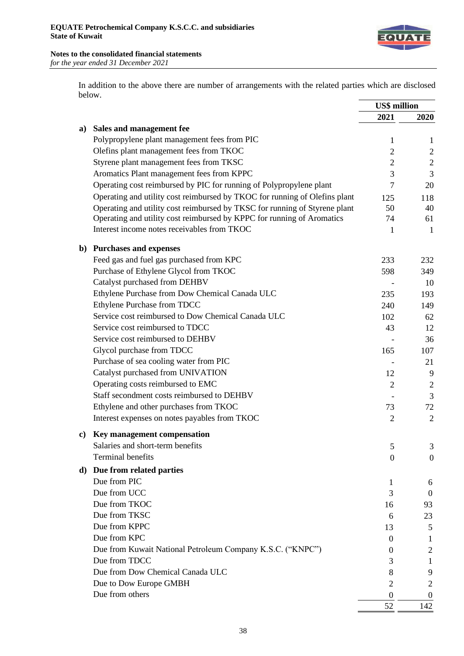

In addition to the above there are number of arrangements with the related parties which are disclosed below.

|    |                                                                            | <b>US\$</b> million |                  |
|----|----------------------------------------------------------------------------|---------------------|------------------|
|    |                                                                            | 2021                | 2020             |
| a) | Sales and management fee                                                   |                     |                  |
|    | Polypropylene plant management fees from PIC                               | 1                   | $\mathbf{1}$     |
|    | Olefins plant management fees from TKOC                                    | $\overline{2}$      | $\mathbf{2}$     |
|    | Styrene plant management fees from TKSC                                    | $\overline{2}$      | $\mathbf{2}$     |
|    | Aromatics Plant management fees from KPPC                                  | 3                   | 3                |
|    | Operating cost reimbursed by PIC for running of Polypropylene plant        | 7                   | 20               |
|    | Operating and utility cost reimbursed by TKOC for running of Olefins plant | 125                 | 118              |
|    | Operating and utility cost reimbursed by TKSC for running of Styrene plant | 50                  | 40               |
|    | Operating and utility cost reimbursed by KPPC for running of Aromatics     | 74                  | 61               |
|    | Interest income notes receivables from TKOC                                | -1                  | $\mathbf{1}$     |
|    |                                                                            |                     |                  |
|    | b) Purchases and expenses<br>Feed gas and fuel gas purchased from KPC      | 233                 | 232              |
|    | Purchase of Ethylene Glycol from TKOC                                      | 598                 | 349              |
|    | Catalyst purchased from DEHBV                                              |                     | 10               |
|    | Ethylene Purchase from Dow Chemical Canada ULC                             | 235                 | 193              |
|    | Ethylene Purchase from TDCC                                                |                     |                  |
|    | Service cost reimbursed to Dow Chemical Canada ULC                         | 240                 | 149              |
|    |                                                                            | 102                 | 62               |
|    | Service cost reimbursed to TDCC                                            | 43                  | 12               |
|    | Service cost reimbursed to DEHBV                                           |                     | 36               |
|    | Glycol purchase from TDCC                                                  | 165                 | 107              |
|    | Purchase of sea cooling water from PIC                                     |                     | 21               |
|    | Catalyst purchased from UNIVATION                                          | 12                  | 9                |
|    | Operating costs reimbursed to EMC                                          | $\overline{2}$      | $\overline{2}$   |
|    | Staff secondment costs reimbursed to DEHBV                                 |                     | 3                |
|    | Ethylene and other purchases from TKOC                                     | 73                  | 72               |
|    | Interest expenses on notes payables from TKOC                              | $\overline{2}$      | $\overline{2}$   |
| c) | Key management compensation                                                |                     |                  |
|    | Salaries and short-term benefits                                           | 5                   | 3                |
|    | <b>Terminal benefits</b>                                                   | $\overline{0}$      | $\boldsymbol{0}$ |
|    | d) Due from related parties                                                |                     |                  |
|    | Due from PIC                                                               | 1                   | 6                |
|    | Due from UCC                                                               | 3                   | $\overline{0}$   |
|    | Due from TKOC                                                              | 16                  | 93               |
|    | Due from TKSC                                                              | 6                   | 23               |
|    | Due from KPPC                                                              | 13                  | 5                |
|    | Due from KPC                                                               | $\theta$            | 1                |
|    | Due from Kuwait National Petroleum Company K.S.C. ("KNPC")                 | $\theta$            | $\overline{2}$   |
|    | Due from TDCC                                                              | 3                   | 1                |
|    | Due from Dow Chemical Canada ULC                                           | 8                   | 9                |
|    | Due to Dow Europe GMBH                                                     | $\overline{2}$      | $\overline{2}$   |
|    | Due from others                                                            | $\theta$            | O                |
|    |                                                                            | 52                  | 142              |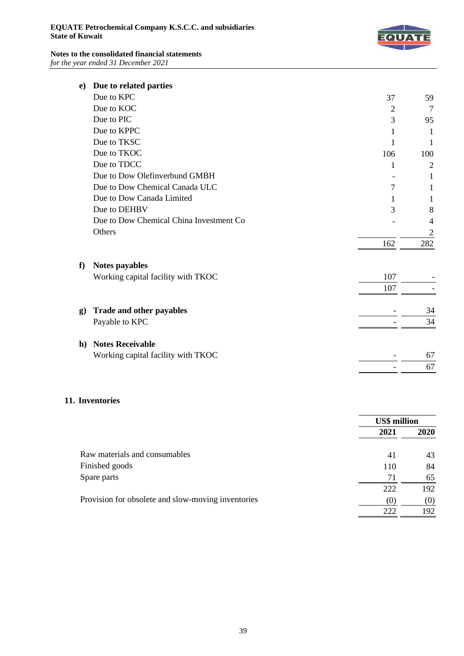

| e)           | Due to related parties                   |     |                |
|--------------|------------------------------------------|-----|----------------|
|              | Due to KPC                               | 37  | 59             |
|              | Due to KOC                               | 2   | 7              |
|              | Due to PIC                               | 3   | 95             |
|              | Due to KPPC                              | 1   | 1              |
|              | Due to TKSC                              |     | 1              |
|              | Due to TKOC                              | 106 | 100            |
|              | Due to TDCC                              | 1   | $\overline{2}$ |
|              | Due to Dow Olefinverbund GMBH            |     | 1              |
|              | Due to Dow Chemical Canada ULC           |     | 1              |
|              | Due to Dow Canada Limited                | 1   | 1              |
|              | Due to DEHBV                             | 3   | 8              |
|              | Due to Dow Chemical China Investment Co. |     | 4              |
|              | Others                                   |     | $\mathfrak{2}$ |
|              |                                          | 162 | 282            |
| f            | Notes payables                           |     |                |
|              | Working capital facility with TKOC       | 107 |                |
|              |                                          | 107 |                |
|              |                                          |     |                |
| $\mathbf{g}$ | Trade and other payables                 |     | 34             |
|              | Payable to KPC                           |     | 34             |
| h)           | <b>Notes Receivable</b>                  |     |                |
|              | Working capital facility with TKOC       |     | 67             |
|              |                                          |     | 67             |

## **11. Inventories**

|                                                    | <b>US\$</b> million |      |
|----------------------------------------------------|---------------------|------|
|                                                    | 2021                | 2020 |
| Raw materials and consumables                      | 41                  | 43   |
| Finished goods                                     | 110                 | 84   |
| Spare parts                                        | 71                  | 65   |
|                                                    | 222                 | 192  |
| Provision for obsolete and slow-moving inventories | (0)                 | (0)  |
|                                                    | 222                 | 192  |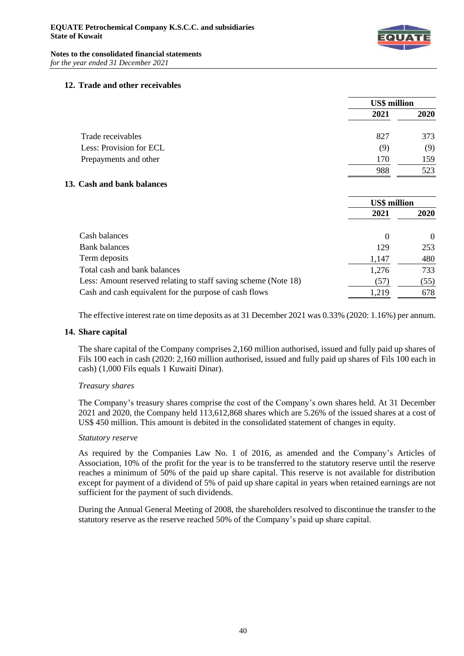

## **12. Trade and other receivables**

|                         |      | <b>US\$</b> million |  |
|-------------------------|------|---------------------|--|
|                         | 2021 | 2020                |  |
| Trade receivables       | 827  | 373                 |  |
| Less: Provision for ECL | (9)  | (9)                 |  |
| Prepayments and other   | 170  | 159                 |  |
|                         | 988  | 523                 |  |

## **13. Cash and bank balances**

|                                                                 | <b>US\$</b> million |             |
|-----------------------------------------------------------------|---------------------|-------------|
|                                                                 | 2021                | <b>2020</b> |
| Cash balances                                                   | 0                   | $\theta$    |
| <b>Bank</b> balances                                            | 129                 | 253         |
| Term deposits                                                   | 1,147               | 480         |
| Total cash and bank balances                                    | 1,276               | 733         |
| Less: Amount reserved relating to staff saving scheme (Note 18) | (57)                | (55)        |
| Cash and cash equivalent for the purpose of cash flows          | 1,219               | 678         |

The effective interest rate on time deposits as at 31 December 2021 was 0.33% (2020: 1.16%) per annum.

## **14. Share capital**

The share capital of the Company comprises 2,160 million authorised, issued and fully paid up shares of Fils 100 each in cash (2020: 2,160 million authorised, issued and fully paid up shares of Fils 100 each in cash) (1,000 Fils equals 1 Kuwaiti Dinar).

## *Treasury shares*

The Company's treasury shares comprise the cost of the Company's own shares held. At 31 December 2021 and 2020, the Company held 113,612,868 shares which are 5.26% of the issued shares at a cost of US\$ 450 million. This amount is debited in the consolidated statement of changes in equity.

#### *Statutory reserve*

As required by the Companies Law No. 1 of 2016, as amended and the Company's Articles of Association, 10% of the profit for the year is to be transferred to the statutory reserve until the reserve reaches a minimum of 50% of the paid up share capital. This reserve is not available for distribution except for payment of a dividend of 5% of paid up share capital in years when retained earnings are not sufficient for the payment of such dividends.

During the Annual General Meeting of 2008, the shareholders resolved to discontinue the transfer to the statutory reserve as the reserve reached 50% of the Company's paid up share capital.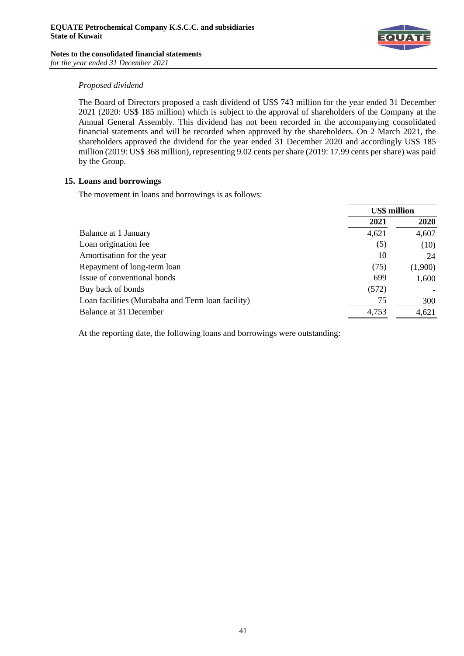

## *Proposed dividend*

The Board of Directors proposed a cash dividend of US\$ 743 million for the year ended 31 December 2021 (2020: US\$ 185 million) which is subject to the approval of shareholders of the Company at the Annual General Assembly. This dividend has not been recorded in the accompanying consolidated financial statements and will be recorded when approved by the shareholders. On 2 March 2021, the shareholders approved the dividend for the year ended 31 December 2020 and accordingly US\$ 185 million (2019: US\$ 368 million), representing 9.02 cents per share (2019: 17.99 cents per share) was paid by the Group.

## **15. Loans and borrowings**

The movement in loans and borrowings is as follows:

|                                                   | <b>US\$</b> million |             |
|---------------------------------------------------|---------------------|-------------|
|                                                   | 2021                | <b>2020</b> |
| Balance at 1 January                              | 4,621               | 4,607       |
| Loan origination fee                              | (5)                 | (10)        |
| Amortisation for the year                         | 10                  | 24          |
| Repayment of long-term loan                       | (75)                | (1,900)     |
| Issue of conventional bonds                       | 699                 | 1,600       |
| Buy back of bonds                                 | (572)               |             |
| Loan facilities (Murabaha and Term loan facility) | 75                  | 300         |
| Balance at 31 December                            | 4,753               | 4,621       |

At the reporting date, the following loans and borrowings were outstanding: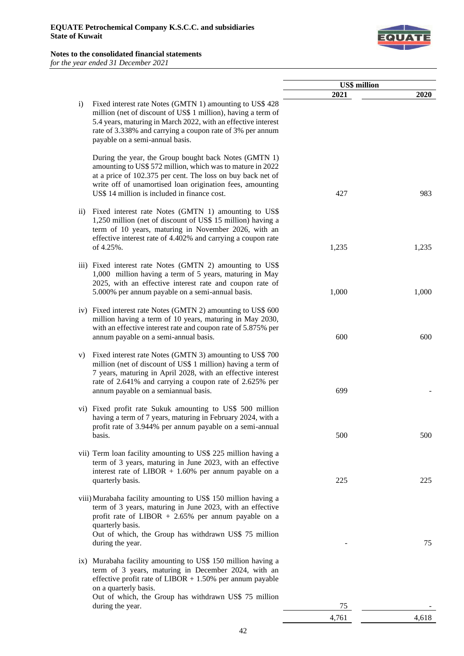## EQUATE

## **Notes to the consolidated financial statements**

*for the year ended 31 December 2021*

|                                                                                                                                                                                                                                                                                                            | <b>US\$</b> million |       |
|------------------------------------------------------------------------------------------------------------------------------------------------------------------------------------------------------------------------------------------------------------------------------------------------------------|---------------------|-------|
|                                                                                                                                                                                                                                                                                                            | 2021                | 2020  |
| Fixed interest rate Notes (GMTN 1) amounting to US\$ 428<br>$\mathbf{i}$<br>million (net of discount of US\$ 1 million), having a term of<br>5.4 years, maturing in March 2022, with an effective interest<br>rate of 3.338% and carrying a coupon rate of 3% per annum<br>payable on a semi-annual basis. |                     |       |
| During the year, the Group bought back Notes (GMTN 1)<br>amounting to US\$ 572 million, which was to mature in 2022<br>at a price of 102.375 per cent. The loss on buy back net of<br>write off of unamortised loan origination fees, amounting<br>US\$ 14 million is included in finance cost.            | 427                 | 983   |
| Fixed interest rate Notes (GMTN 1) amounting to US\$<br>$\overline{11}$<br>1,250 million (net of discount of US\$ 15 million) having a<br>term of 10 years, maturing in November 2026, with an<br>effective interest rate of 4.402% and carrying a coupon rate<br>of 4.25%.                                | 1,235               | 1,235 |
| iii) Fixed interest rate Notes (GMTN 2) amounting to US\$<br>1,000 million having a term of 5 years, maturing in May<br>2025, with an effective interest rate and coupon rate of<br>5.000% per annum payable on a semi-annual basis.                                                                       | 1,000               | 1,000 |
| iv) Fixed interest rate Notes (GMTN 2) amounting to US\$ 600<br>million having a term of 10 years, maturing in May 2030,<br>with an effective interest rate and coupon rate of 5.875% per<br>annum payable on a semi-annual basis.                                                                         | 600                 | 600   |
| Fixed interest rate Notes (GMTN 3) amounting to US\$ 700<br>V)<br>million (net of discount of US\$ 1 million) having a term of<br>7 years, maturing in April 2028, with an effective interest<br>rate of 2.641% and carrying a coupon rate of 2.625% per<br>annum payable on a semiannual basis.           | 699                 |       |
| vi) Fixed profit rate Sukuk amounting to US\$ 500 million<br>having a term of 7 years, maturing in February 2024, with a<br>profit rate of 3.944% per annum payable on a semi-annual<br>basis.                                                                                                             | 500                 | 500   |
| vii) Term loan facility amounting to US\$ 225 million having a<br>term of 3 years, maturing in June 2023, with an effective<br>interest rate of LIBOR $+ 1.60\%$ per annum payable on a<br>quarterly basis.                                                                                                | 225                 | 225   |
| viii) Murabaha facility amounting to US\$ 150 million having a<br>term of 3 years, maturing in June 2023, with an effective<br>profit rate of LIBOR $+ 2.65\%$ per annum payable on a<br>quarterly basis.<br>Out of which, the Group has withdrawn US\$ 75 million<br>during the year.                     |                     | 75    |
| ix) Murabaha facility amounting to US\$ 150 million having a<br>term of 3 years, maturing in December 2024, with an<br>effective profit rate of LIBOR $+ 1.50\%$ per annum payable<br>on a quarterly basis.                                                                                                |                     |       |
| Out of which, the Group has withdrawn US\$ 75 million<br>during the year.                                                                                                                                                                                                                                  | 75                  |       |
|                                                                                                                                                                                                                                                                                                            | 4,761               | 4,618 |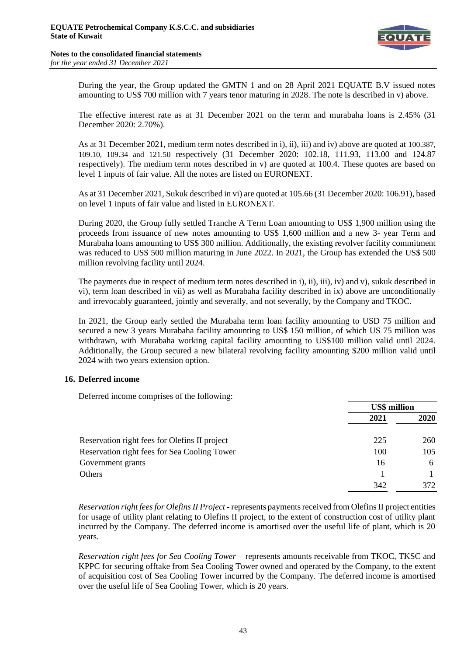

> During the year, the Group updated the GMTN 1 and on 28 April 2021 EQUATE B.V issued notes amounting to US\$ 700 million with 7 years tenor maturing in 2028. The note is described in v) above.

> The effective interest rate as at 31 December 2021 on the term and murabaha loans is 2.45% (31 December 2020: 2.70%).

> As at 31 December 2021, medium term notes described in i), ii), iii) and iv) above are quoted at 100.387, 109.10, 109.34 and 121.50 respectively (31 December 2020: 102.18, 111.93, 113.00 and 124.87 respectively). The medium term notes described in v) are quoted at 100.4. These quotes are based on level 1 inputs of fair value. All the notes are listed on EURONEXT.

> As at 31 December 2021, Sukuk described in vi) are quoted at 105.66 (31 December 2020: 106.91), based on level 1 inputs of fair value and listed in EURONEXT.

> During 2020, the Group fully settled Tranche A Term Loan amounting to US\$ 1,900 million using the proceeds from issuance of new notes amounting to US\$ 1,600 million and a new 3- year Term and Murabaha loans amounting to US\$ 300 million. Additionally, the existing revolver facility commitment was reduced to US\$ 500 million maturing in June 2022. In 2021, the Group has extended the US\$ 500 million revolving facility until 2024.

> The payments due in respect of medium term notes described in i), ii), iii), iv) and v), sukuk described in vi), term loan described in vii) as well as Murabaha facility described in ix) above are unconditionally and irrevocably guaranteed, jointly and severally, and not severally, by the Company and TKOC.

> In 2021, the Group early settled the Murabaha term loan facility amounting to USD 75 million and secured a new 3 years Murabaha facility amounting to US\$ 150 million, of which US 75 million was withdrawn, with Murabaha working capital facility amounting to US\$100 million valid until 2024. Additionally, the Group secured a new bilateral revolving facility amounting \$200 million valid until 2024 with two years extension option.

## **16. Deferred income**

Deferred income comprises of the following:

|                                               | US\$ million |      |
|-----------------------------------------------|--------------|------|
|                                               | 2021         | 2020 |
| Reservation right fees for Olefins II project | 225          | 260  |
| Reservation right fees for Sea Cooling Tower  | 100          | 105  |
| Government grants                             | 16           | 6    |
| Others                                        |              |      |
|                                               | 342          | 372  |

*Reservation right fees for Olefins II Project* - represents payments received from Olefins II project entities for usage of utility plant relating to Olefins II project, to the extent of construction cost of utility plant incurred by the Company. The deferred income is amortised over the useful life of plant, which is 20 years.

*Reservation right fees for Sea Cooling Tower* – represents amounts receivable from TKOC, TKSC and KPPC for securing offtake from Sea Cooling Tower owned and operated by the Company, to the extent of acquisition cost of Sea Cooling Tower incurred by the Company. The deferred income is amortised over the useful life of Sea Cooling Tower, which is 20 years.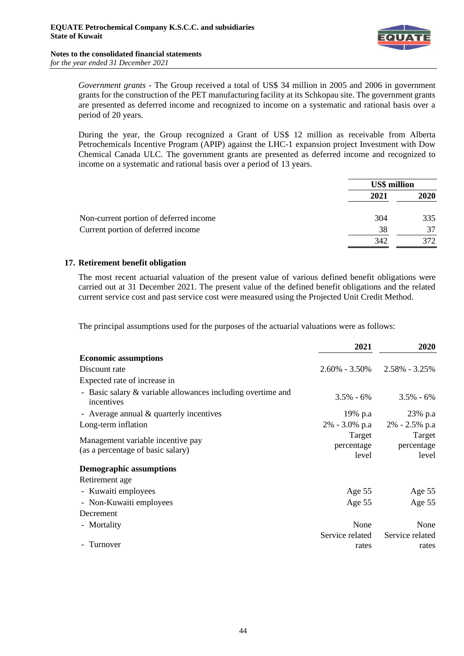

*Government grants* - The Group received a total of US\$ 34 million in 2005 and 2006 in government grants for the construction of the PET manufacturing facility at its Schkopau site. The government grants are presented as deferred income and recognized to income on a systematic and rational basis over a period of 20 years.

During the year, the Group recognized a Grant of US\$ 12 million as receivable from Alberta Petrochemicals Incentive Program (APIP) against the LHC-1 expansion project Investment with Dow Chemical Canada ULC. The government grants are presented as deferred income and recognized to income on a systematic and rational basis over a period of 13 years.

|                                        | <b>US\$</b> million |      |
|----------------------------------------|---------------------|------|
|                                        | 2021                | 2020 |
| Non-current portion of deferred income | 304                 | 335  |
| Current portion of deferred income     | 38                  | 37   |
|                                        | 342                 | 372  |

## **17. Retirement benefit obligation**

The most recent actuarial valuation of the present value of various defined benefit obligations were carried out at 31 December 2021. The present value of the defined benefit obligations and the related current service cost and past service cost were measured using the Projected Unit Credit Method.

The principal assumptions used for the purposes of the actuarial valuations were as follows:

|                                                                           | 2021                     | 2020                                |
|---------------------------------------------------------------------------|--------------------------|-------------------------------------|
| <b>Economic assumptions</b>                                               |                          |                                     |
| Discount rate                                                             |                          | $2.60\% - 3.50\% - 2.58\% - 3.25\%$ |
| Expected rate of increase in                                              |                          |                                     |
| - Basic salary & variable allowances including overtime and<br>incentives | $3.5\% - 6\%$            | $3.5\% - 6\%$                       |
| - Average annual $\&$ quarterly incentives                                | 19% p.a                  | 23% p.a                             |
| Long-term inflation                                                       |                          | 2% - 3.0% p.a 2% - 2.5% p.a         |
| Management variable incentive pay                                         | Target                   | Target                              |
| (as a percentage of basic salary)                                         | percentage<br>level      | percentage<br>level                 |
| <b>Demographic assumptions</b>                                            |                          |                                     |
| Retirement age                                                            |                          |                                     |
| - Kuwaiti employees                                                       | Age $55$                 | Age 55                              |
| - Non-Kuwaiti employees                                                   | Age 55                   | Age 55                              |
| Decrement                                                                 |                          |                                     |
| - Mortality                                                               | None                     | None                                |
| - Turnover                                                                | Service related<br>rates | Service related<br>rates            |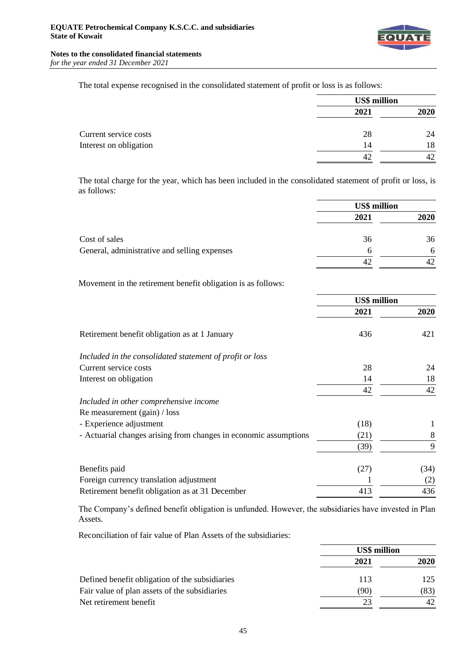## EQUA

#### **Notes to the consolidated financial statements** *for the year ended 31 December 2021*

The total expense recognised in the consolidated statement of profit or loss is as follows:

|                        | <b>US\$</b> million |      |
|------------------------|---------------------|------|
|                        | 2021                | 2020 |
| Current service costs  | 28                  | 24   |
| Interest on obligation | 14                  | 18   |
|                        | 42                  | 42   |

The total charge for the year, which has been included in the consolidated statement of profit or loss, is as follows:

|                                              | <b>US\$</b> million |      |
|----------------------------------------------|---------------------|------|
|                                              | 2021                | 2020 |
| Cost of sales                                | 36                  | 36   |
| General, administrative and selling expenses | h                   | 6    |
|                                              | 42                  | 42   |

Movement in the retirement benefit obligation is as follows:

|                                                                  | <b>US\$</b> million |      |
|------------------------------------------------------------------|---------------------|------|
|                                                                  | 2021                | 2020 |
| Retirement benefit obligation as at 1 January                    | 436                 | 421  |
| Included in the consolidated statement of profit or loss         |                     |      |
| Current service costs                                            | 28                  | 24   |
| Interest on obligation                                           | 14                  | 18   |
|                                                                  | 42                  | 42   |
| Included in other comprehensive income                           |                     |      |
| Re measurement (gain) / loss                                     |                     |      |
| - Experience adjustment                                          | (18)                | 1    |
| - Actuarial changes arising from changes in economic assumptions | (21)                | 8    |
|                                                                  | (39)                | 9    |
| Benefits paid                                                    | (27)                | (34) |
| Foreign currency translation adjustment                          |                     | (2)  |
| Retirement benefit obligation as at 31 December                  | 413                 | 436  |

The Company's defined benefit obligation is unfunded. However, the subsidiaries have invested in Plan Assets.

Reconciliation of fair value of Plan Assets of the subsidiaries:

|                                                | <b>US\$</b> million |      |
|------------------------------------------------|---------------------|------|
|                                                | 2021                | 2020 |
| Defined benefit obligation of the subsidiaries | 113                 | 125  |
| Fair value of plan assets of the subsidiaries  | (90                 | (83) |
| Net retirement benefit                         | 23                  | 42   |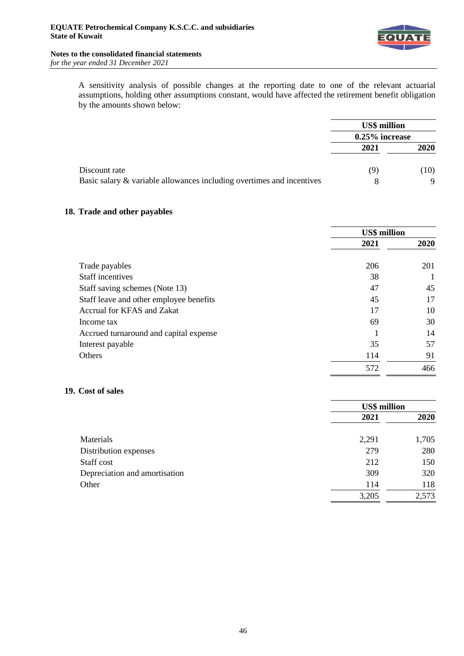# EQUA

#### **Notes to the consolidated financial statements** *for the year ended 31 December 2021*

A sensitivity analysis of possible changes at the reporting date to one of the relevant actuarial assumptions, holding other assumptions constant, would have affected the retirement benefit obligation by the amounts shown below:

|                                                                       | <b>US\$</b> million |      |
|-----------------------------------------------------------------------|---------------------|------|
|                                                                       | $0.25\%$ increase   |      |
|                                                                       | 2021                | 2020 |
| Discount rate                                                         | (9)                 | (10) |
| Basic salary & variable allowances including overtimes and incentives | 8                   | 9    |

## **18. Trade and other payables**

|                                         | <b>US\$</b> million |      |
|-----------------------------------------|---------------------|------|
|                                         | 2021                | 2020 |
|                                         |                     |      |
| Trade payables                          | 206                 | 201  |
| <b>Staff incentives</b>                 | 38                  |      |
| Staff saving schemes (Note 13)          | 47                  | 45   |
| Staff leave and other employee benefits | 45                  | 17   |
| Accrual for KFAS and Zakat              | 17                  | 10   |
| Income tax                              | 69                  | 30   |
| Accrued turnaround and capital expense  |                     | 14   |
| Interest payable                        | 35                  | 57   |
| Others                                  | 114                 | 91   |
|                                         | 572                 | 466  |

## **19. Cost of sales**

|                               | <b>US\$</b> million |       |
|-------------------------------|---------------------|-------|
|                               | 2021                | 2020  |
| Materials                     | 2,291               | 1,705 |
| Distribution expenses         | 279                 | 280   |
| Staff cost                    | 212                 | 150   |
| Depreciation and amortisation | 309                 | 320   |
| Other                         | 114                 | 118   |
|                               | 3,205               | 2,573 |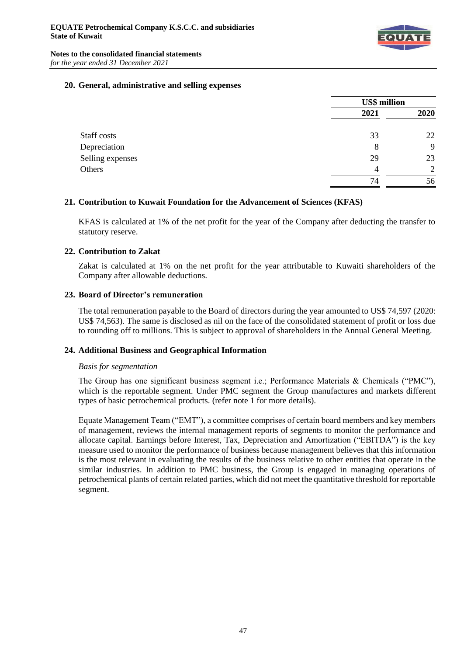

## **20. General, administrative and selling expenses**

|                  |      | <b>US\$</b> million |  |
|------------------|------|---------------------|--|
|                  | 2021 | 2020                |  |
| Staff costs      | 33   | 22                  |  |
| Depreciation     | 8    | 9                   |  |
| Selling expenses | 29   | 23                  |  |
| Others           | 4    | 2                   |  |
|                  | 74   | 56                  |  |

## **21. Contribution to Kuwait Foundation for the Advancement of Sciences (KFAS)**

KFAS is calculated at 1% of the net profit for the year of the Company after deducting the transfer to statutory reserve.

## **22. Contribution to Zakat**

Zakat is calculated at 1% on the net profit for the year attributable to Kuwaiti shareholders of the Company after allowable deductions.

## **23. Board of Director's remuneration**

The total remuneration payable to the Board of directors during the year amounted to US\$ 74,597 (2020: US\$ 74,563). The same is disclosed as nil on the face of the consolidated statement of profit or loss due to rounding off to millions. This is subject to approval of shareholders in the Annual General Meeting.

## **24. Additional Business and Geographical Information**

## *Basis for segmentation*

The Group has one significant business segment i.e.; Performance Materials & Chemicals ("PMC"), which is the reportable segment. Under PMC segment the Group manufactures and markets different types of basic petrochemical products. (refer note 1 for more details).

Equate Management Team ("EMT"), a committee comprises of certain board members and key members of management, reviews the internal management reports of segments to monitor the performance and allocate capital. Earnings before Interest, Tax, Depreciation and Amortization ("EBITDA") is the key measure used to monitor the performance of business because management believes that this information is the most relevant in evaluating the results of the business relative to other entities that operate in the similar industries. In addition to PMC business, the Group is engaged in managing operations of petrochemical plants of certain related parties, which did not meet the quantitative threshold for reportable segment.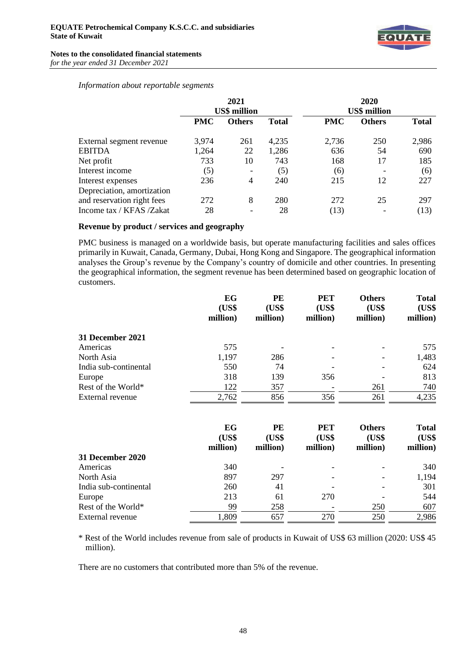## **Notes to the consolidated financial statements**

*for the year ended 31 December 2021*

*Information about reportable segments*

|                            | 2021<br><b>US\$</b> million |                          |              | 2020<br><b>US\$ million</b> |                          |              |
|----------------------------|-----------------------------|--------------------------|--------------|-----------------------------|--------------------------|--------------|
|                            | <b>PMC</b>                  | <b>Others</b>            | <b>Total</b> | <b>PMC</b>                  | <b>Others</b>            | <b>Total</b> |
| External segment revenue   | 3,974                       | 261                      | 4,235        | 2,736                       | 250                      | 2,986        |
| <b>EBITDA</b>              | 1,264                       | 22                       | 1,286        | 636                         | 54                       | 690          |
| Net profit                 | 733                         | 10                       | 743          | 168                         | 17                       | 185          |
| Interest income            | (5)                         | $\overline{\phantom{a}}$ | (5)          | (6)                         | $\overline{\phantom{0}}$ | (6)          |
| Interest expenses          | 236                         | 4                        | 240          | 215                         | 12                       | 227          |
| Depreciation, amortization |                             |                          |              |                             |                          |              |
| and reservation right fees | 272                         | 8                        | 280          | 272                         | 25                       | 297          |
| Income tax / KFAS /Zakat   | 28                          | $\overline{\phantom{a}}$ | 28           | (13)                        |                          | (13)         |

## **Revenue by product / services and geography**

PMC business is managed on a worldwide basis, but operate manufacturing facilities and sales offices primarily in Kuwait, Canada, Germany, Dubai, Hong Kong and Singapore. The geographical information analyses the Group's revenue by the Company's country of domicile and other countries. In presenting the geographical information, the segment revenue has been determined based on geographic location of customers.

|                       | EG<br>(US\$ | PE<br>(US\$ | <b>PET</b><br>(US\$ | <b>Others</b><br>(US\$ | <b>Total</b><br>(US\$ |
|-----------------------|-------------|-------------|---------------------|------------------------|-----------------------|
|                       | million)    | million)    | million)            | million)               | million)              |
| 31 December 2021      |             |             |                     |                        |                       |
| Americas              | 575         |             |                     |                        | 575                   |
| North Asia            | 1,197       | 286         |                     |                        | 1,483                 |
| India sub-continental | 550         | 74          |                     |                        | 624                   |
| Europe                | 318         | 139         | 356                 |                        | 813                   |
| Rest of the World*    | 122         | 357         |                     | 261                    | 740                   |
| External revenue      | 2,762       | 856         | 356                 | 261                    | 4,235                 |
|                       |             |             |                     |                        |                       |

|                       | EG<br>(US\$<br>million) | PE<br>(US\$<br>million)  | <b>PET</b><br>(US\$<br>million) | <b>Others</b><br>(US\$<br>million) | <b>Total</b><br>(US\$<br>million) |
|-----------------------|-------------------------|--------------------------|---------------------------------|------------------------------------|-----------------------------------|
| 31 December 2020      |                         |                          |                                 |                                    |                                   |
| Americas              | 340                     | $\overline{\phantom{0}}$ |                                 |                                    | 340                               |
| North Asia            | 897                     | 297                      |                                 |                                    | 1,194                             |
| India sub-continental | 260                     | 41                       |                                 |                                    | 301                               |
| Europe                | 213                     | 61                       | 270                             |                                    | 544                               |
| Rest of the World*    | 99                      | 258                      |                                 | 250                                | 607                               |
| External revenue      | 1,809                   | 657                      | 270                             | 250                                | 2,986                             |

\* Rest of the World includes revenue from sale of products in Kuwait of US\$ 63 million (2020: US\$ 45 million).

There are no customers that contributed more than 5% of the revenue.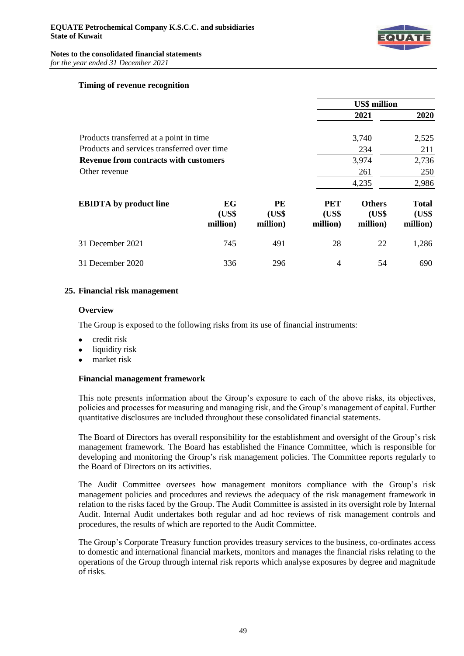

## **Timing of revenue recognition**

|                                              |                         |                         | <b>US\$</b> million             |                                    |                                   |
|----------------------------------------------|-------------------------|-------------------------|---------------------------------|------------------------------------|-----------------------------------|
|                                              |                         |                         |                                 | 2021                               | 2020                              |
| Products transferred at a point in time      |                         |                         |                                 | 3,740                              | 2,525                             |
| Products and services transferred over time  |                         |                         |                                 | 234                                | 211                               |
| <b>Revenue from contracts with customers</b> |                         |                         |                                 | 3,974                              | 2,736                             |
| Other revenue                                |                         |                         |                                 | 261                                | 250                               |
|                                              |                         |                         |                                 | 4,235                              | 2,986                             |
| <b>EBIDTA</b> by product line                | EG<br>(US\$<br>million) | PE<br>(US\$<br>million) | <b>PET</b><br>(US\$<br>million) | <b>Others</b><br>(US\$<br>million) | <b>Total</b><br>(US\$<br>million) |
| 31 December 2021                             | 745                     | 491                     | 28                              | 22                                 | 1,286                             |

31 December 2020 336 296 4 54 690

## **25. Financial risk management**

#### **Overview**

The Group is exposed to the following risks from its use of financial instruments:

- credit risk
- liquidity risk
- market risk

#### **Financial management framework**

This note presents information about the Group's exposure to each of the above risks, its objectives, policies and processes for measuring and managing risk, and the Group's management of capital. Further quantitative disclosures are included throughout these consolidated financial statements.

The Board of Directors has overall responsibility for the establishment and oversight of the Group's risk management framework. The Board has established the Finance Committee, which is responsible for developing and monitoring the Group's risk management policies. The Committee reports regularly to the Board of Directors on its activities.

The Audit Committee oversees how management monitors compliance with the Group's risk management policies and procedures and reviews the adequacy of the risk management framework in relation to the risks faced by the Group. The Audit Committee is assisted in its oversight role by Internal Audit. Internal Audit undertakes both regular and ad hoc reviews of risk management controls and procedures, the results of which are reported to the Audit Committee.

The Group's Corporate Treasury function provides treasury services to the business, co-ordinates access to domestic and international financial markets, monitors and manages the financial risks relating to the operations of the Group through internal risk reports which analyse exposures by degree and magnitude of risks.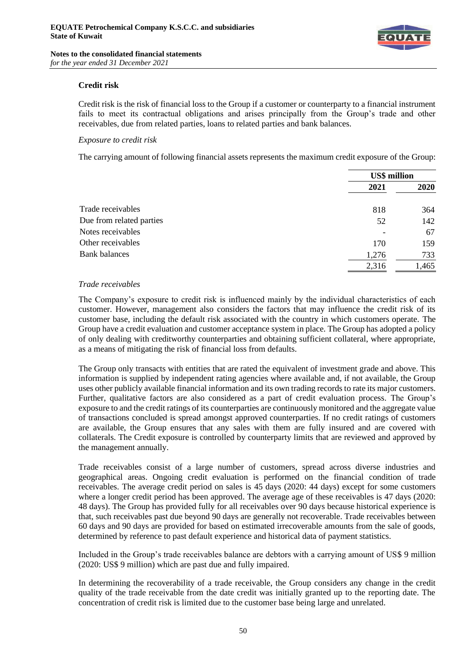

## **Credit risk**

Credit risk is the risk of financial loss to the Group if a customer or counterparty to a financial instrument fails to meet its contractual obligations and arises principally from the Group's trade and other receivables, due from related parties, loans to related parties and bank balances.

## *Exposure to credit risk*

The carrying amount of following financial assets represents the maximum credit exposure of the Group:

|                          | <b>US\$</b> million |       |
|--------------------------|---------------------|-------|
|                          | 2021                | 2020  |
| Trade receivables        | 818                 | 364   |
| Due from related parties | 52                  | 142   |
| Notes receivables        |                     | 67    |
| Other receivables        | 170                 | 159   |
| <b>Bank balances</b>     | 1,276               | 733   |
|                          | 2,316               | 1,465 |

## *Trade receivables*

The Company's exposure to credit risk is influenced mainly by the individual characteristics of each customer. However, management also considers the factors that may influence the credit risk of its customer base, including the default risk associated with the country in which customers operate. The Group have a credit evaluation and customer acceptance system in place. The Group has adopted a policy of only dealing with creditworthy counterparties and obtaining sufficient collateral, where appropriate, as a means of mitigating the risk of financial loss from defaults.

The Group only transacts with entities that are rated the equivalent of investment grade and above. This information is supplied by independent rating agencies where available and, if not available, the Group uses other publicly available financial information and its own trading records to rate its major customers. Further, qualitative factors are also considered as a part of credit evaluation process. The Group's exposure to and the credit ratings of its counterparties are continuously monitored and the aggregate value of transactions concluded is spread amongst approved counterparties. If no credit ratings of customers are available, the Group ensures that any sales with them are fully insured and are covered with collaterals. The Credit exposure is controlled by counterparty limits that are reviewed and approved by the management annually.

Trade receivables consist of a large number of customers, spread across diverse industries and geographical areas. Ongoing credit evaluation is performed on the financial condition of trade receivables. The average credit period on sales is 45 days (2020: 44 days) except for some customers where a longer credit period has been approved. The average age of these receivables is 47 days (2020: 48 days). The Group has provided fully for all receivables over 90 days because historical experience is that, such receivables past due beyond 90 days are generally not recoverable. Trade receivables between 60 days and 90 days are provided for based on estimated irrecoverable amounts from the sale of goods, determined by reference to past default experience and historical data of payment statistics.

Included in the Group's trade receivables balance are debtors with a carrying amount of US\$ 9 million (2020: US\$ 9 million) which are past due and fully impaired.

In determining the recoverability of a trade receivable, the Group considers any change in the credit quality of the trade receivable from the date credit was initially granted up to the reporting date. The concentration of credit risk is limited due to the customer base being large and unrelated.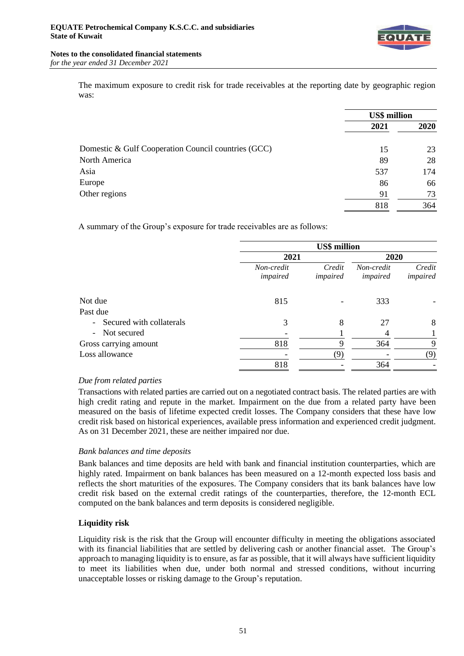

The maximum exposure to credit risk for trade receivables at the reporting date by geographic region was:

|                                                     | <b>US\$</b> million |      |
|-----------------------------------------------------|---------------------|------|
|                                                     | 2021                | 2020 |
| Domestic & Gulf Cooperation Council countries (GCC) | 15                  | 23   |
| North America                                       | 89                  | 28   |
| Asia                                                | 537                 | 174  |
| Europe                                              | 86                  | 66   |
| Other regions                                       | 91                  | 73   |
|                                                     | 818                 | 364  |

A summary of the Group's exposure for trade receivables are as follows:

|                            | <b>US\$</b> million    |                    |                        |                    |
|----------------------------|------------------------|--------------------|------------------------|--------------------|
|                            | 2021                   |                    | 2020                   |                    |
|                            | Non-credit<br>impaired | Credit<br>impaired | Non-credit<br>impaired | Credit<br>impaired |
| Not due                    | 815                    |                    | 333                    |                    |
| Past due                   |                        |                    |                        |                    |
| - Secured with collaterals | 3                      | 8                  | 27                     | 8                  |
| Not secured<br>$-$         |                        |                    | 4                      |                    |
| Gross carrying amount      | 818                    | 9                  | 364                    | 9                  |
| Loss allowance             |                        | (9)                |                        | (9)                |
|                            | 818                    |                    | 364                    |                    |

## *Due from related parties*

Transactions with related parties are carried out on a negotiated contract basis. The related parties are with high credit rating and repute in the market. Impairment on the due from a related party have been measured on the basis of lifetime expected credit losses. The Company considers that these have low credit risk based on historical experiences, available press information and experienced credit judgment. As on 31 December 2021, these are neither impaired nor due.

## *Bank balances and time deposits*

Bank balances and time deposits are held with bank and financial institution counterparties, which are highly rated. Impairment on bank balances has been measured on a 12-month expected loss basis and reflects the short maturities of the exposures. The Company considers that its bank balances have low credit risk based on the external credit ratings of the counterparties, therefore, the 12-month ECL computed on the bank balances and term deposits is considered negligible.

## **Liquidity risk**

Liquidity risk is the risk that the Group will encounter difficulty in meeting the obligations associated with its financial liabilities that are settled by delivering cash or another financial asset. The Group's approach to managing liquidity is to ensure, as far as possible, that it will always have sufficient liquidity to meet its liabilities when due, under both normal and stressed conditions, without incurring unacceptable losses or risking damage to the Group's reputation.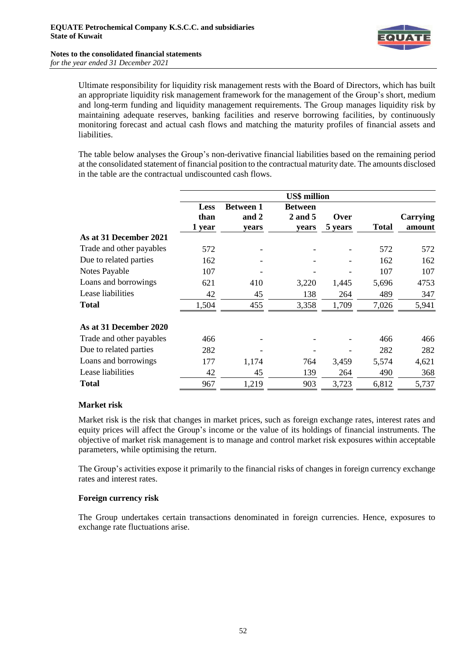

Ultimate responsibility for liquidity risk management rests with the Board of Directors, which has built an appropriate liquidity risk management framework for the management of the Group's short, medium and long-term funding and liquidity management requirements. The Group manages liquidity risk by maintaining adequate reserves, banking facilities and reserve borrowing facilities, by continuously monitoring forecast and actual cash flows and matching the maturity profiles of financial assets and liabilities.

The table below analyses the Group's non-derivative financial liabilities based on the remaining period at the consolidated statement of financial position to the contractual maturity date. The amounts disclosed in the table are the contractual undiscounted cash flows.

|                          | <b>US\$ million</b>           |                                    |                                    |                 |              |                    |
|--------------------------|-------------------------------|------------------------------------|------------------------------------|-----------------|--------------|--------------------|
|                          | <b>Less</b><br>than<br>1 year | <b>Between 1</b><br>and 2<br>vears | <b>Between</b><br>2 and 5<br>years | Over<br>5 years | <b>Total</b> | Carrying<br>amount |
| As at 31 December 2021   |                               |                                    |                                    |                 |              |                    |
| Trade and other payables | 572                           |                                    |                                    |                 | 572          | 572                |
| Due to related parties   | 162                           |                                    |                                    |                 | 162          | 162                |
| Notes Payable            | 107                           |                                    |                                    |                 | 107          | 107                |
| Loans and borrowings     | 621                           | 410                                | 3,220                              | 1,445           | 5,696        | 4753               |
| Lease liabilities        | 42                            | 45                                 | 138                                | 264             | 489          | 347                |
| <b>Total</b>             | 1,504                         | 455                                | 3,358                              | 1,709           | 7,026        | 5,941              |
| As at 31 December 2020   |                               |                                    |                                    |                 |              |                    |
| Trade and other payables | 466                           |                                    |                                    |                 | 466          | 466                |
| Due to related parties   | 282                           |                                    |                                    |                 | 282          | 282                |
| Loans and borrowings     | 177                           | 1,174                              | 764                                | 3,459           | 5,574        | 4,621              |
| Lease liabilities        | 42                            | 45                                 | 139                                | 264             | 490          | 368                |
| <b>Total</b>             | 967                           | 1,219                              | 903                                | 3,723           | 6,812        | 5,737              |

## **Market risk**

Market risk is the risk that changes in market prices, such as foreign exchange rates, interest rates and equity prices will affect the Group's income or the value of its holdings of financial instruments. The objective of market risk management is to manage and control market risk exposures within acceptable parameters, while optimising the return.

The Group's activities expose it primarily to the financial risks of changes in foreign currency exchange rates and interest rates.

## **Foreign currency risk**

The Group undertakes certain transactions denominated in foreign currencies. Hence, exposures to exchange rate fluctuations arise.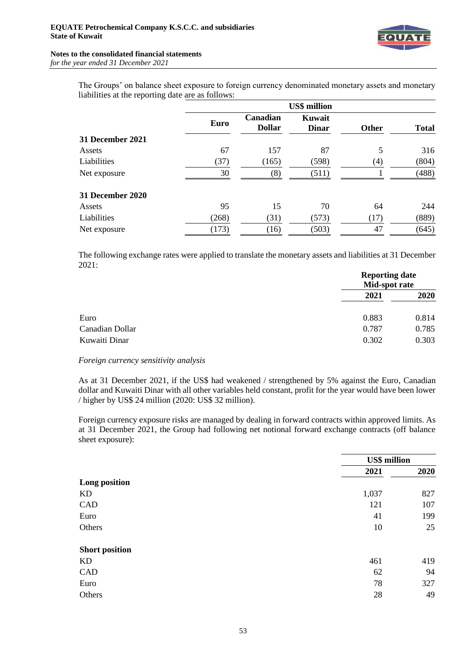

The Groups' on balance sheet exposure to foreign currency denominated monetary assets and monetary liabilities at the reporting date are as follows:

|                  |             |                           | <b>US\$ million</b>           |       |              |
|------------------|-------------|---------------------------|-------------------------------|-------|--------------|
|                  | <b>Euro</b> | Canadian<br><b>Dollar</b> | <b>Kuwait</b><br><b>Dinar</b> | Other | <b>Total</b> |
| 31 December 2021 |             |                           |                               |       |              |
| Assets           | 67          | 157                       | 87                            | 5     | 316          |
| Liabilities      | (37)        | (165)                     | (598)                         | (4)   | (804)        |
| Net exposure     | 30          | (8)                       | (511)                         |       | (488)        |
| 31 December 2020 |             |                           |                               |       |              |
| Assets           | 95          | 15                        | 70                            | 64    | 244          |
| Liabilities      | (268)       | (31)                      | (573)                         | (17)  | (889)        |
| Net exposure     | (173)       | (16)                      | (503)                         | 47    | (645)        |

The following exchange rates were applied to translate the monetary assets and liabilities at 31 December 2021:

|                 | <b>Reporting date</b><br>Mid-spot rate |       |
|-----------------|----------------------------------------|-------|
|                 | 2021                                   | 2020  |
| Euro            | 0.883                                  | 0.814 |
| Canadian Dollar | 0.787                                  | 0.785 |
| Kuwaiti Dinar   | 0.302                                  | 0.303 |

## *Foreign currency sensitivity analysis*

As at 31 December 2021, if the US\$ had weakened / strengthened by 5% against the Euro, Canadian dollar and Kuwaiti Dinar with all other variables held constant, profit for the year would have been lower / higher by US\$ 24 million (2020: US\$ 32 million).

Foreign currency exposure risks are managed by dealing in forward contracts within approved limits. As at 31 December 2021, the Group had following net notional forward exchange contracts (off balance sheet exposure):

|                       | <b>US\$</b> million |      |
|-----------------------|---------------------|------|
|                       | 2021                | 2020 |
| Long position         |                     |      |
| <b>KD</b>             | 1,037               | 827  |
| CAD                   | 121                 | 107  |
| Euro                  | 41                  | 199  |
| Others                | 10                  | 25   |
| <b>Short position</b> |                     |      |
| KD                    | 461                 | 419  |
| CAD                   | 62                  | 94   |
| Euro                  | 78                  | 327  |
| Others                | 28                  | 49   |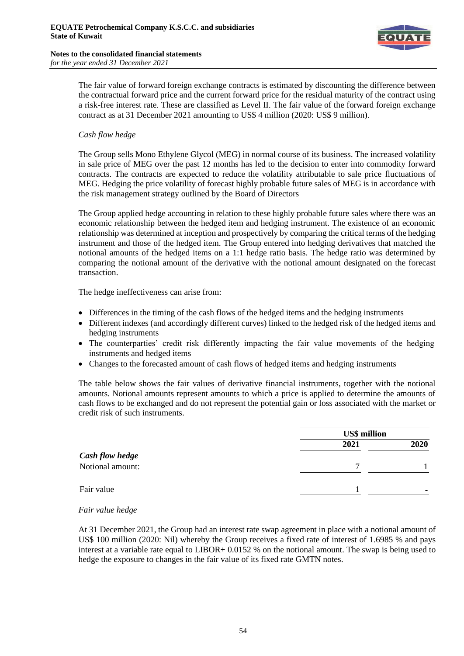

The fair value of forward foreign exchange contracts is estimated by discounting the difference between the contractual forward price and the current forward price for the residual maturity of the contract using a risk-free interest rate. These are classified as Level II. The fair value of the forward foreign exchange contract as at 31 December 2021 amounting to US\$ 4 million (2020: US\$ 9 million).

## *Cash flow hedge*

The Group sells Mono Ethylene Glycol (MEG) in normal course of its business. The increased volatility in sale price of MEG over the past 12 months has led to the decision to enter into commodity forward contracts. The contracts are expected to reduce the volatility attributable to sale price fluctuations of MEG. Hedging the price volatility of forecast highly probable future sales of MEG is in accordance with the risk management strategy outlined by the Board of Directors

The Group applied hedge accounting in relation to these highly probable future sales where there was an economic relationship between the hedged item and hedging instrument. The existence of an economic relationship was determined at inception and prospectively by comparing the critical terms of the hedging instrument and those of the hedged item. The Group entered into hedging derivatives that matched the notional amounts of the hedged items on a 1:1 hedge ratio basis. The hedge ratio was determined by comparing the notional amount of the derivative with the notional amount designated on the forecast transaction.

The hedge ineffectiveness can arise from:

- Differences in the timing of the cash flows of the hedged items and the hedging instruments
- Different indexes (and accordingly different curves) linked to the hedged risk of the hedged items and hedging instruments
- The counterparties' credit risk differently impacting the fair value movements of the hedging instruments and hedged items
- Changes to the forecasted amount of cash flows of hedged items and hedging instruments

The table below shows the fair values of derivative financial instruments, together with the notional amounts. Notional amounts represent amounts to which a price is applied to determine the amounts of cash flows to be exchanged and do not represent the potential gain or loss associated with the market or credit risk of such instruments.

|                                            |      | <b>US\$</b> million |  |  |
|--------------------------------------------|------|---------------------|--|--|
|                                            | 2021 | 2020                |  |  |
| <b>Cash flow hedge</b><br>Notional amount: |      |                     |  |  |
| Fair value                                 |      |                     |  |  |

## *Fair value hedge*

At 31 December 2021, the Group had an interest rate swap agreement in place with a notional amount of US\$ 100 million (2020: Nil) whereby the Group receives a fixed rate of interest of 1.6985 % and pays interest at a variable rate equal to LIBOR+ 0.0152 % on the notional amount. The swap is being used to hedge the exposure to changes in the fair value of its fixed rate GMTN notes.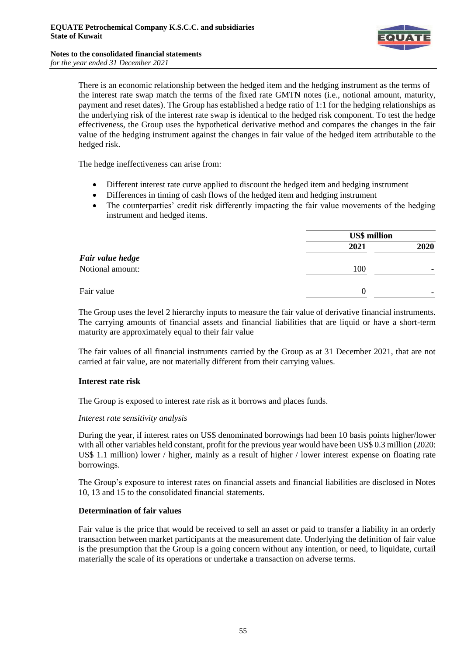

> There is an economic relationship between the hedged item and the hedging instrument as the terms of the interest rate swap match the terms of the fixed rate GMTN notes (i.e., notional amount, maturity, payment and reset dates). The Group has established a hedge ratio of 1:1 for the hedging relationships as the underlying risk of the interest rate swap is identical to the hedged risk component. To test the hedge effectiveness, the Group uses the hypothetical derivative method and compares the changes in the fair value of the hedging instrument against the changes in fair value of the hedged item attributable to the hedged risk.

The hedge ineffectiveness can arise from:

- Different interest rate curve applied to discount the hedged item and hedging instrument
- Differences in timing of cash flows of the hedged item and hedging instrument
- The counterparties' credit risk differently impacting the fair value movements of the hedging instrument and hedged items.

|                                      |          | <b>US\$</b> million |  |  |
|--------------------------------------|----------|---------------------|--|--|
|                                      | 2021     | 2020                |  |  |
| Fair value hedge<br>Notional amount: | 100      |                     |  |  |
| Fair value                           | $\Omega$ |                     |  |  |

The Group uses the level 2 hierarchy inputs to measure the fair value of derivative financial instruments. The carrying amounts of financial assets and financial liabilities that are liquid or have a short-term maturity are approximately equal to their fair value

The fair values of all financial instruments carried by the Group as at 31 December 2021, that are not carried at fair value, are not materially different from their carrying values.

## **Interest rate risk**

The Group is exposed to interest rate risk as it borrows and places funds.

#### *Interest rate sensitivity analysis*

During the year, if interest rates on US\$ denominated borrowings had been 10 basis points higher/lower with all other variables held constant, profit for the previous year would have been US\$ 0.3 million (2020: US\$ 1.1 million) lower / higher, mainly as a result of higher / lower interest expense on floating rate borrowings.

The Group's exposure to interest rates on financial assets and financial liabilities are disclosed in Notes 10, 13 and 15 to the consolidated financial statements.

#### **Determination of fair values**

Fair value is the price that would be received to sell an asset or paid to transfer a liability in an orderly transaction between market participants at the measurement date. Underlying the definition of fair value is the presumption that the Group is a going concern without any intention, or need, to liquidate, curtail materially the scale of its operations or undertake a transaction on adverse terms.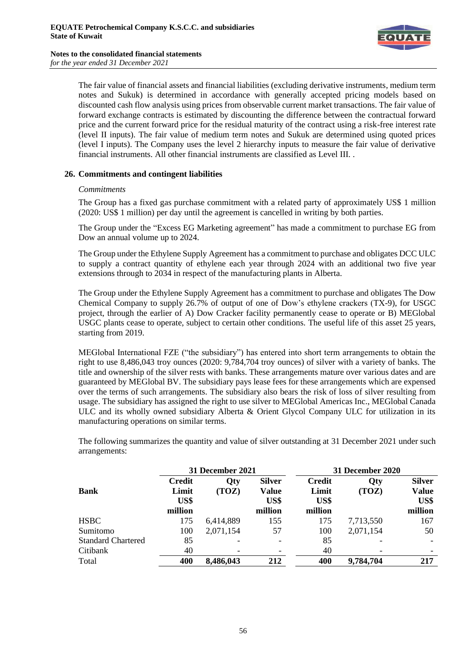

The fair value of financial assets and financial liabilities (excluding derivative instruments, medium term notes and Sukuk) is determined in accordance with generally accepted pricing models based on discounted cash flow analysis using prices from observable current market transactions. The fair value of forward exchange contracts is estimated by discounting the difference between the contractual forward price and the current forward price for the residual maturity of the contract using a risk-free interest rate (level II inputs). The fair value of medium term notes and Sukuk are determined using quoted prices (level I inputs). The Company uses the level 2 hierarchy inputs to measure the fair value of derivative financial instruments. All other financial instruments are classified as Level III. .

## **26. Commitments and contingent liabilities**

#### *Commitments*

The Group has a fixed gas purchase commitment with a related party of approximately US\$ 1 million (2020: US\$ 1 million) per day until the agreement is cancelled in writing by both parties.

The Group under the "Excess EG Marketing agreement" has made a commitment to purchase EG from Dow an annual volume up to 2024.

The Group under the Ethylene Supply Agreement has a commitment to purchase and obligates DCC ULC to supply a contract quantity of ethylene each year through 2024 with an additional two five year extensions through to 2034 in respect of the manufacturing plants in Alberta.

The Group under the Ethylene Supply Agreement has a commitment to purchase and obligates The Dow Chemical Company to supply 26.7% of output of one of Dow's ethylene crackers (TX-9), for USGC project, through the earlier of A) Dow Cracker facility permanently cease to operate or B) MEGlobal USGC plants cease to operate, subject to certain other conditions. The useful life of this asset 25 years, starting from 2019.

MEGlobal International FZE ("the subsidiary") has entered into short term arrangements to obtain the right to use 8,486,043 troy ounces (2020: 9,784,704 troy ounces) of silver with a variety of banks. The title and ownership of the silver rests with banks. These arrangements mature over various dates and are guaranteed by MEGlobal BV. The subsidiary pays lease fees for these arrangements which are expensed over the terms of such arrangements. The subsidiary also bears the risk of loss of silver resulting from usage. The subsidiary has assigned the right to use silver to MEGlobal Americas Inc., MEGlobal Canada ULC and its wholly owned subsidiary Alberta & Orient Glycol Company ULC for utilization in its manufacturing operations on similar terms.

The following summarizes the quantity and value of silver outstanding at 31 December 2021 under such arrangements:

|                           | 31 December 2021 |                          | <b>31 December 2020</b> |               |           |               |
|---------------------------|------------------|--------------------------|-------------------------|---------------|-----------|---------------|
|                           | <b>Credit</b>    | <b>Qty</b>               | <b>Silver</b>           | <b>Credit</b> | Qty       | <b>Silver</b> |
| <b>Bank</b>               | Limit            | (TOZ)                    | <b>Value</b>            | Limit         | (TOZ)     | <b>Value</b>  |
|                           | US\$             |                          | US\$                    | US\$          |           | US\$          |
|                           | million          |                          | million                 | million       |           | million       |
| <b>HSBC</b>               | 175              | 6,414,889                | 155                     | 175           | 7,713,550 | 167           |
| Sumitomo                  | 100              | 2,071,154                | 57                      | 100           | 2,071,154 | 50            |
| <b>Standard Chartered</b> | 85               |                          |                         | 85            |           |               |
| Citibank                  | 40               | $\overline{\phantom{a}}$ |                         | 40            |           |               |
| Total                     | 400              | 8,486,043                | 212                     | 400           | 9,784,704 | 217           |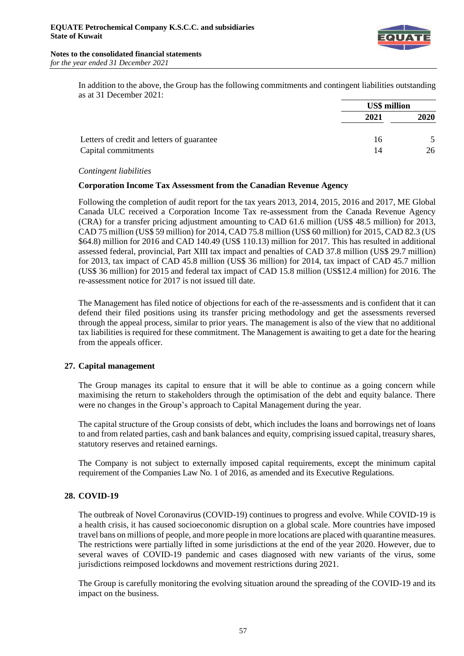

In addition to the above, the Group has the following commitments and contingent liabilities outstanding as at 31 December 2021:

|                                            | <b>US\$</b> million |      |
|--------------------------------------------|---------------------|------|
|                                            | 2021                | 2020 |
| Letters of credit and letters of guarantee | 16                  |      |
| Capital commitments                        | 14                  | 26   |

*Contingent liabilities*

## **Corporation Income Tax Assessment from the Canadian Revenue Agency**

Following the completion of audit report for the tax years 2013, 2014, 2015, 2016 and 2017, ME Global Canada ULC received a Corporation Income Tax re-assessment from the Canada Revenue Agency (CRA) for a transfer pricing adjustment amounting to CAD 61.6 million (US\$ 48.5 million) for 2013, CAD 75 million (US\$ 59 million) for 2014, CAD 75.8 million (US\$ 60 million) for 2015, CAD 82.3 (US \$64.8) million for 2016 and CAD 140.49 (US\$ 110.13) million for 2017. This has resulted in additional assessed federal, provincial, Part XIII tax impact and penalties of CAD 37.8 million (US\$ 29.7 million) for 2013, tax impact of CAD 45.8 million (US\$ 36 million) for 2014, tax impact of CAD 45.7 million (US\$ 36 million) for 2015 and federal tax impact of CAD 15.8 million (US\$12.4 million) for 2016. The re-assessment notice for 2017 is not issued till date.

The Management has filed notice of objections for each of the re-assessments and is confident that it can defend their filed positions using its transfer pricing methodology and get the assessments reversed through the appeal process, similar to prior years. The management is also of the view that no additional tax liabilities is required for these commitment. The Management is awaiting to get a date for the hearing from the appeals officer.

## **27. Capital management**

The Group manages its capital to ensure that it will be able to continue as a going concern while maximising the return to stakeholders through the optimisation of the debt and equity balance. There were no changes in the Group's approach to Capital Management during the year.

The capital structure of the Group consists of debt, which includes the loans and borrowings net of loans to and from related parties, cash and bank balances and equity, comprising issued capital, treasury shares, statutory reserves and retained earnings.

The Company is not subject to externally imposed capital requirements, except the minimum capital requirement of the Companies Law No. 1 of 2016, as amended and its Executive Regulations.

## **28. COVID-19**

The outbreak of Novel Coronavirus (COVID-19) continues to progress and evolve. While COVID-19 is a health crisis, it has caused socioeconomic disruption on a global scale. More countries have imposed travel bans on millions of people, and more people in more locations are placed with quarantine measures. The restrictions were partially lifted in some jurisdictions at the end of the year 2020. However, due to several waves of COVID-19 pandemic and cases diagnosed with new variants of the virus, some jurisdictions reimposed lockdowns and movement restrictions during 2021.

The Group is carefully monitoring the evolving situation around the spreading of the COVID-19 and its impact on the business.